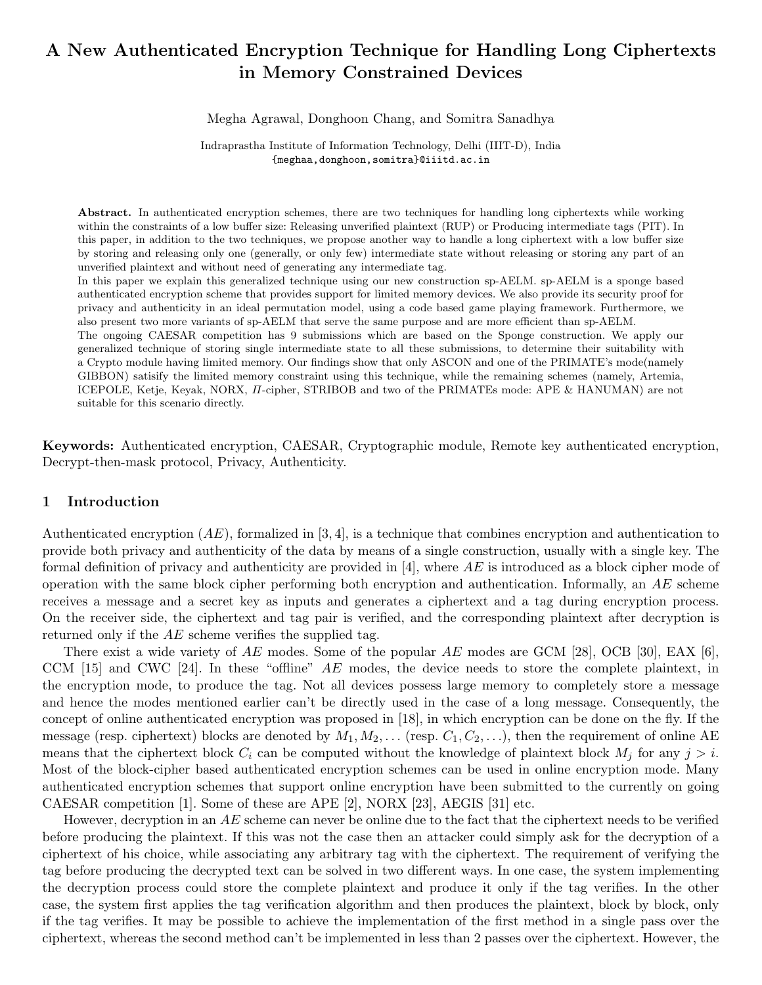# A New Authenticated Encryption Technique for Handling Long Ciphertexts in Memory Constrained Devices

Megha Agrawal, Donghoon Chang, and Somitra Sanadhya

Indraprastha Institute of Information Technology, Delhi (IIIT-D), India {meghaa,donghoon,somitra}@iiitd.ac.in

Abstract. In authenticated encryption schemes, there are two techniques for handling long ciphertexts while working within the constraints of a low buffer size: Releasing unverified plaintext (RUP) or Producing intermediate tags (PIT). In this paper, in addition to the two techniques, we propose another way to handle a long ciphertext with a low buffer size by storing and releasing only one (generally, or only few) intermediate state without releasing or storing any part of an unverified plaintext and without need of generating any intermediate tag.

In this paper we explain this generalized technique using our new construction sp-AELM. sp-AELM is a sponge based authenticated encryption scheme that provides support for limited memory devices. We also provide its security proof for privacy and authenticity in an ideal permutation model, using a code based game playing framework. Furthermore, we also present two more variants of sp-AELM that serve the same purpose and are more efficient than sp-AELM.

The ongoing CAESAR competition has 9 submissions which are based on the Sponge construction. We apply our generalized technique of storing single intermediate state to all these submissions, to determine their suitability with a Crypto module having limited memory. Our findings show that only ASCON and one of the PRIMATE's mode(namely GIBBON) satisify the limited memory constraint using this technique, while the remaining schemes (namely, Artemia, ICEPOLE, Ketje, Keyak, NORX, Π-cipher, STRIBOB and two of the PRIMATEs mode: APE & HANUMAN) are not suitable for this scenario directly.

Keywords: Authenticated encryption, CAESAR, Cryptographic module, Remote key authenticated encryption, Decrypt-then-mask protocol, Privacy, Authenticity.

### 1 Introduction

Authenticated encryption  $(AE)$ , formalized in [3, 4], is a technique that combines encryption and authentication to provide both privacy and authenticity of the data by means of a single construction, usually with a single key. The formal definition of privacy and authenticity are provided in [4], where  $AE$  is introduced as a block cipher mode of operation with the same block cipher performing both encryption and authentication. Informally, an  $AE$  scheme receives a message and a secret key as inputs and generates a ciphertext and a tag during encryption process. On the receiver side, the ciphertext and tag pair is verified, and the corresponding plaintext after decryption is returned only if the AE scheme verifies the supplied tag.

There exist a wide variety of AE modes. Some of the popular AE modes are GCM [28], OCB [30], EAX [6], CCM  $[15]$  and CWC  $[24]$ . In these "offline" AE modes, the device needs to store the complete plaintext, in the encryption mode, to produce the tag. Not all devices possess large memory to completely store a message and hence the modes mentioned earlier can't be directly used in the case of a long message. Consequently, the concept of online authenticated encryption was proposed in [18], in which encryption can be done on the fly. If the message (resp. ciphertext) blocks are denoted by  $M_1, M_2, \ldots$  (resp.  $C_1, C_2, \ldots$ ), then the requirement of online AE means that the ciphertext block  $C_i$  can be computed without the knowledge of plaintext block  $M_i$  for any  $j > i$ . Most of the block-cipher based authenticated encryption schemes can be used in online encryption mode. Many authenticated encryption schemes that support online encryption have been submitted to the currently on going CAESAR competition [1]. Some of these are APE [2], NORX [23], AEGIS [31] etc.

However, decryption in an  $AE$  scheme can never be online due to the fact that the ciphertext needs to be verified before producing the plaintext. If this was not the case then an attacker could simply ask for the decryption of a ciphertext of his choice, while associating any arbitrary tag with the ciphertext. The requirement of verifying the tag before producing the decrypted text can be solved in two different ways. In one case, the system implementing the decryption process could store the complete plaintext and produce it only if the tag verifies. In the other case, the system first applies the tag verification algorithm and then produces the plaintext, block by block, only if the tag verifies. It may be possible to achieve the implementation of the first method in a single pass over the ciphertext, whereas the second method can't be implemented in less than 2 passes over the ciphertext. However, the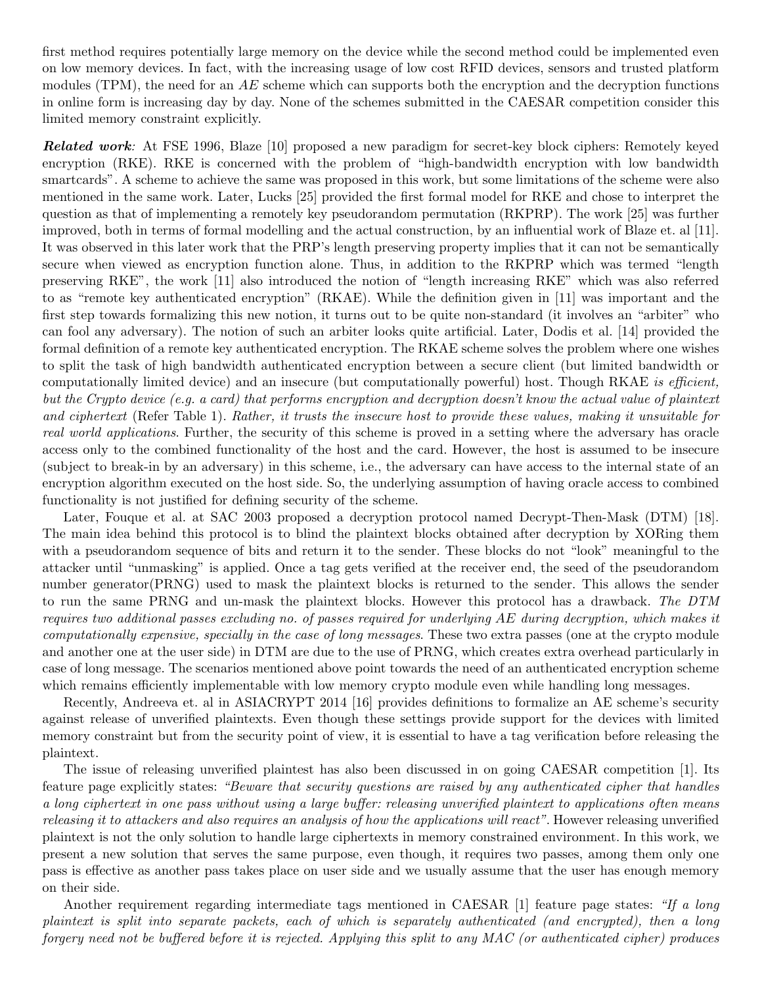first method requires potentially large memory on the device while the second method could be implemented even on low memory devices. In fact, with the increasing usage of low cost RFID devices, sensors and trusted platform modules (TPM), the need for an  $AE$  scheme which can supports both the encryption and the decryption functions in online form is increasing day by day. None of the schemes submitted in the CAESAR competition consider this limited memory constraint explicitly.

**Related work:** At FSE 1996, Blaze [10] proposed a new paradigm for secret-key block ciphers: Remotely keyed encryption (RKE). RKE is concerned with the problem of "high-bandwidth encryption with low bandwidth smartcards". A scheme to achieve the same was proposed in this work, but some limitations of the scheme were also mentioned in the same work. Later, Lucks [25] provided the first formal model for RKE and chose to interpret the question as that of implementing a remotely key pseudorandom permutation (RKPRP). The work [25] was further improved, both in terms of formal modelling and the actual construction, by an influential work of Blaze et. al [11]. It was observed in this later work that the PRP's length preserving property implies that it can not be semantically secure when viewed as encryption function alone. Thus, in addition to the RKPRP which was termed "length preserving RKE", the work [11] also introduced the notion of "length increasing RKE" which was also referred to as "remote key authenticated encryption" (RKAE). While the definition given in [11] was important and the first step towards formalizing this new notion, it turns out to be quite non-standard (it involves an "arbiter" who can fool any adversary). The notion of such an arbiter looks quite artificial. Later, Dodis et al. [14] provided the formal definition of a remote key authenticated encryption. The RKAE scheme solves the problem where one wishes to split the task of high bandwidth authenticated encryption between a secure client (but limited bandwidth or computationally limited device) and an insecure (but computationally powerful) host. Though RKAE is efficient, but the Crypto device (e.g. a card) that performs encryption and decryption doesn't know the actual value of plaintext and ciphertext (Refer Table 1). Rather, it trusts the insecure host to provide these values, making it unsuitable for real world applications. Further, the security of this scheme is proved in a setting where the adversary has oracle access only to the combined functionality of the host and the card. However, the host is assumed to be insecure (subject to break-in by an adversary) in this scheme, i.e., the adversary can have access to the internal state of an encryption algorithm executed on the host side. So, the underlying assumption of having oracle access to combined functionality is not justified for defining security of the scheme.

Later, Fouque et al. at SAC 2003 proposed a decryption protocol named Decrypt-Then-Mask (DTM) [18]. The main idea behind this protocol is to blind the plaintext blocks obtained after decryption by XORing them with a pseudorandom sequence of bits and return it to the sender. These blocks do not "look" meaningful to the attacker until "unmasking" is applied. Once a tag gets verified at the receiver end, the seed of the pseudorandom number generator(PRNG) used to mask the plaintext blocks is returned to the sender. This allows the sender to run the same PRNG and un-mask the plaintext blocks. However this protocol has a drawback. The DTM requires two additional passes excluding no. of passes required for underlying AE during decryption, which makes it computationally expensive, specially in the case of long messages. These two extra passes (one at the crypto module and another one at the user side) in DTM are due to the use of PRNG, which creates extra overhead particularly in case of long message. The scenarios mentioned above point towards the need of an authenticated encryption scheme which remains efficiently implementable with low memory crypto module even while handling long messages.

Recently, Andreeva et. al in ASIACRYPT 2014 [16] provides definitions to formalize an AE scheme's security against release of unverified plaintexts. Even though these settings provide support for the devices with limited memory constraint but from the security point of view, it is essential to have a tag verification before releasing the plaintext.

The issue of releasing unverified plaintest has also been discussed in on going CAESAR competition [1]. Its feature page explicitly states: "Beware that security questions are raised by any authenticated cipher that handles a long ciphertext in one pass without using a large buffer: releasing unverified plaintext to applications often means releasing it to attackers and also requires an analysis of how the applications will react". However releasing unverified plaintext is not the only solution to handle large ciphertexts in memory constrained environment. In this work, we present a new solution that serves the same purpose, even though, it requires two passes, among them only one pass is effective as another pass takes place on user side and we usually assume that the user has enough memory on their side.

Another requirement regarding intermediate tags mentioned in CAESAR [1] feature page states: "If a long plaintext is split into separate packets, each of which is separately authenticated (and encrypted), then a long forgery need not be buffered before it is rejected. Applying this split to any MAC (or authenticated cipher) produces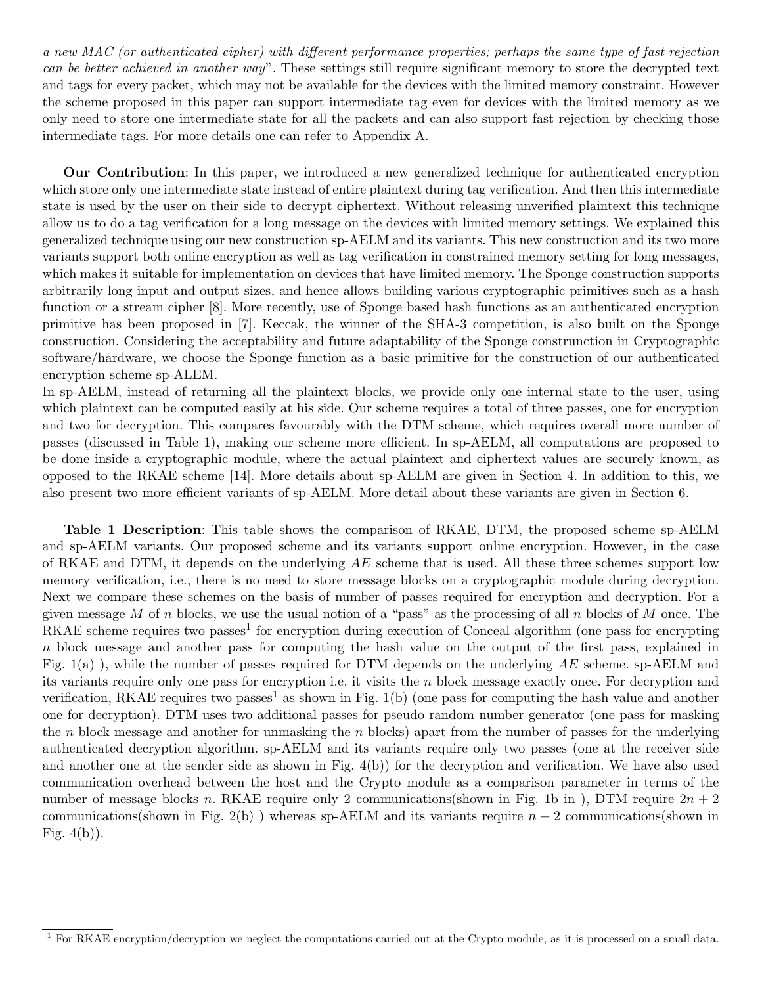a new MAC (or authenticated cipher) with different performance properties; perhaps the same type of fast rejection can be better achieved in another way". These settings still require significant memory to store the decrypted text and tags for every packet, which may not be available for the devices with the limited memory constraint. However the scheme proposed in this paper can support intermediate tag even for devices with the limited memory as we only need to store one intermediate state for all the packets and can also support fast rejection by checking those intermediate tags. For more details one can refer to Appendix A.

Our Contribution: In this paper, we introduced a new generalized technique for authenticated encryption which store only one intermediate state instead of entire plaintext during tag verification. And then this intermediate state is used by the user on their side to decrypt ciphertext. Without releasing unverified plaintext this technique allow us to do a tag verification for a long message on the devices with limited memory settings. We explained this generalized technique using our new construction sp-AELM and its variants. This new construction and its two more variants support both online encryption as well as tag verification in constrained memory setting for long messages, which makes it suitable for implementation on devices that have limited memory. The Sponge construction supports arbitrarily long input and output sizes, and hence allows building various cryptographic primitives such as a hash function or a stream cipher [8]. More recently, use of Sponge based hash functions as an authenticated encryption primitive has been proposed in [7]. Keccak, the winner of the SHA-3 competition, is also built on the Sponge construction. Considering the acceptability and future adaptability of the Sponge construnction in Cryptographic software/hardware, we choose the Sponge function as a basic primitive for the construction of our authenticated encryption scheme sp-ALEM.

In sp-AELM, instead of returning all the plaintext blocks, we provide only one internal state to the user, using which plaintext can be computed easily at his side. Our scheme requires a total of three passes, one for encryption and two for decryption. This compares favourably with the DTM scheme, which requires overall more number of passes (discussed in Table 1), making our scheme more efficient. In sp-AELM, all computations are proposed to be done inside a cryptographic module, where the actual plaintext and ciphertext values are securely known, as opposed to the RKAE scheme [14]. More details about sp-AELM are given in Section 4. In addition to this, we also present two more efficient variants of sp-AELM. More detail about these variants are given in Section 6.

Table 1 Description: This table shows the comparison of RKAE, DTM, the proposed scheme sp-AELM and sp-AELM variants. Our proposed scheme and its variants support online encryption. However, in the case of RKAE and DTM, it depends on the underlying  $AE$  scheme that is used. All these three schemes support low memory verification, i.e., there is no need to store message blocks on a cryptographic module during decryption. Next we compare these schemes on the basis of number of passes required for encryption and decryption. For a given message M of n blocks, we use the usual notion of a "pass" as the processing of all n blocks of M once. The RKAE scheme requires two passes<sup>1</sup> for encryption during execution of Conceal algorithm (one pass for encrypting n block message and another pass for computing the hash value on the output of the first pass, explained in Fig.  $1(a)$ ), while the number of passes required for DTM depends on the underlying AE scheme. sp-AELM and its variants require only one pass for encryption i.e. it visits the n block message exactly once. For decryption and verification, RKAE requires two passes<sup>1</sup> as shown in Fig.  $1(b)$  (one pass for computing the hash value and another one for decryption). DTM uses two additional passes for pseudo random number generator (one pass for masking the n block message and another for unmasking the n blocks) apart from the number of passes for the underlying authenticated decryption algorithm. sp-AELM and its variants require only two passes (one at the receiver side and another one at the sender side as shown in Fig. 4(b)) for the decryption and verification. We have also used communication overhead between the host and the Crypto module as a comparison parameter in terms of the number of message blocks n. RKAE require only 2 communications(shown in Fig. 1b in ), DTM require  $2n + 2$ communications(shown in Fig. 2(b)) whereas sp-AELM and its variants require  $n + 2$  communications(shown in Fig.  $4(b)$ ).

<sup>&</sup>lt;sup>1</sup> For RKAE encryption/decryption we neglect the computations carried out at the Crypto module, as it is processed on a small data.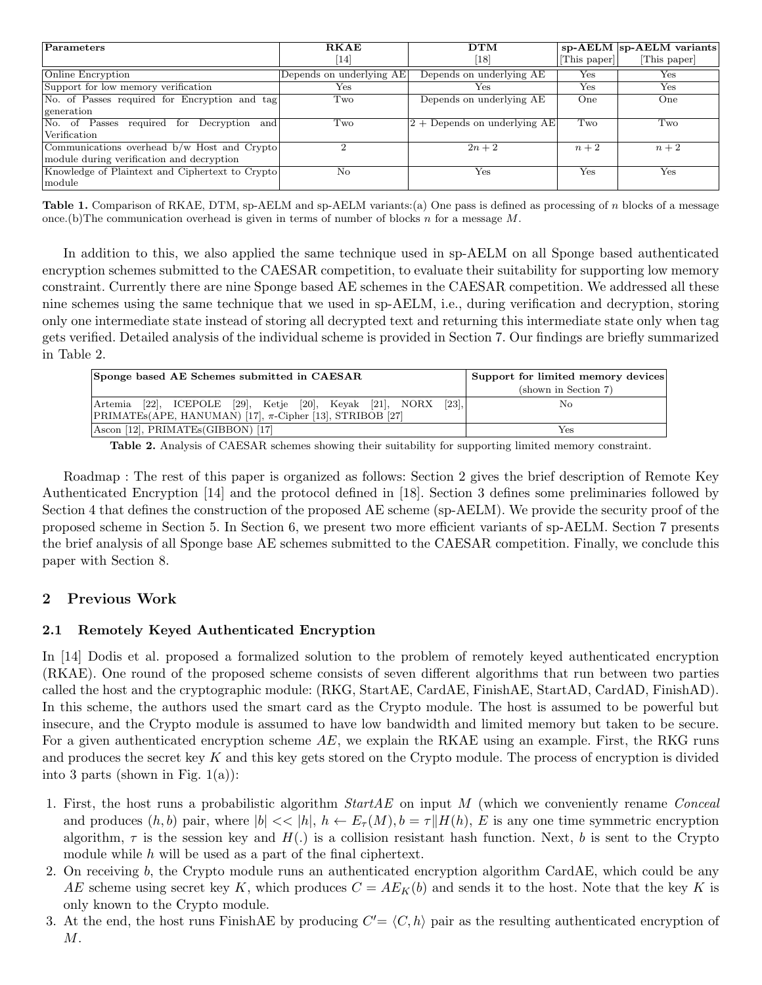| Parameters                                      | <b>RKAE</b>              | DTM                             |                       | $sp$ -AELM $ sp$ -AELM variants |
|-------------------------------------------------|--------------------------|---------------------------------|-----------------------|---------------------------------|
|                                                 | [14]                     | $\lceil 18 \rceil$              | $ {\rm This\ paper} $ | [This paper]                    |
| Online Encryption                               | Depends on underlying AE | Depends on underlying AE        | $_{\rm Yes}$          | Yes                             |
| Support for low memory verification             | $_{\rm Yes}$             | Yes                             | Yes                   | Yes                             |
| No. of Passes required for Encryption and tag   | Two                      | Depends on underlying AE        | One                   | One                             |
| generation                                      |                          |                                 |                       |                                 |
| No. of Passes required for Decryption and       | Two                      | $ 2 +$ Depends on underlying AE | Two                   | Two                             |
| Verification                                    |                          |                                 |                       |                                 |
| Communications overhead b/w Host and Crypto     |                          | $2n+2$                          | $n+2$                 | $n+2$                           |
| module during verification and decryption       |                          |                                 |                       |                                 |
| Knowledge of Plaintext and Ciphertext to Crypto | No                       | Yes                             | Yes                   | Yes                             |
| $ $ module                                      |                          |                                 |                       |                                 |

Table 1. Comparison of RKAE, DTM, sp-AELM and sp-AELM variants:(a) One pass is defined as processing of n blocks of a message once. (b) The communication overhead is given in terms of number of blocks n for a message  $M$ .

In addition to this, we also applied the same technique used in sp-AELM on all Sponge based authenticated encryption schemes submitted to the CAESAR competition, to evaluate their suitability for supporting low memory constraint. Currently there are nine Sponge based AE schemes in the CAESAR competition. We addressed all these nine schemes using the same technique that we used in sp-AELM, i.e., during verification and decryption, storing only one intermediate state instead of storing all decrypted text and returning this intermediate state only when tag gets verified. Detailed analysis of the individual scheme is provided in Section 7. Our findings are briefly summarized in Table 2.

| Sponge based AE Schemes submitted in CAESAR                                                                                                                   | Support for limited memory devices |
|---------------------------------------------------------------------------------------------------------------------------------------------------------------|------------------------------------|
|                                                                                                                                                               | (shown in Section 7)               |
| Artemia [22], ICEPOLE [29], Ketje [20], Keyak [21], NORX<br>$\left[23\right]$ ,<br>PRIMATE <sub>s</sub> (APE, HANUMAN) [17], $\pi$ -Cipher [13], STRIBOB [27] | Nο                                 |
| Ascon [12], PRIMATEs(GIBBON) [17]                                                                                                                             | Yes                                |

Table 2. Analysis of CAESAR schemes showing their suitability for supporting limited memory constraint.

Roadmap : The rest of this paper is organized as follows: Section 2 gives the brief description of Remote Key Authenticated Encryption [14] and the protocol defined in [18]. Section 3 defines some preliminaries followed by Section 4 that defines the construction of the proposed AE scheme (sp-AELM). We provide the security proof of the proposed scheme in Section 5. In Section 6, we present two more efficient variants of sp-AELM. Section 7 presents the brief analysis of all Sponge base AE schemes submitted to the CAESAR competition. Finally, we conclude this paper with Section 8.

# 2 Previous Work

### 2.1 Remotely Keyed Authenticated Encryption

In [14] Dodis et al. proposed a formalized solution to the problem of remotely keyed authenticated encryption (RKAE). One round of the proposed scheme consists of seven different algorithms that run between two parties called the host and the cryptographic module: (RKG, StartAE, CardAE, FinishAE, StartAD, CardAD, FinishAD). In this scheme, the authors used the smart card as the Crypto module. The host is assumed to be powerful but insecure, and the Crypto module is assumed to have low bandwidth and limited memory but taken to be secure. For a given authenticated encryption scheme  $AE$ , we explain the RKAE using an example. First, the RKG runs and produces the secret key K and this key gets stored on the Crypto module. The process of encryption is divided into 3 parts (shown in Fig.  $1(a)$ ):

- 1. First, the host runs a probabilistic algorithm  $StartAE$  on input M (which we conveniently rename Conceal and produces  $(h, b)$  pair, where  $|b| \ll |h|$ ,  $h \leftarrow E_{\tau}(M)$ ,  $b = \tau || H(h), E$  is any one time symmetric encryption algorithm,  $\tau$  is the session key and  $H(.)$  is a collision resistant hash function. Next, b is sent to the Crypto module while  $h$  will be used as a part of the final ciphertext.
- 2. On receiving b, the Crypto module runs an authenticated encryption algorithm CardAE, which could be any AE scheme using secret key K, which produces  $C = AE_K(b)$  and sends it to the host. Note that the key K is only known to the Crypto module.
- 3. At the end, the host runs FinishAE by producing  $C' = \langle C, h \rangle$  pair as the resulting authenticated encryption of M.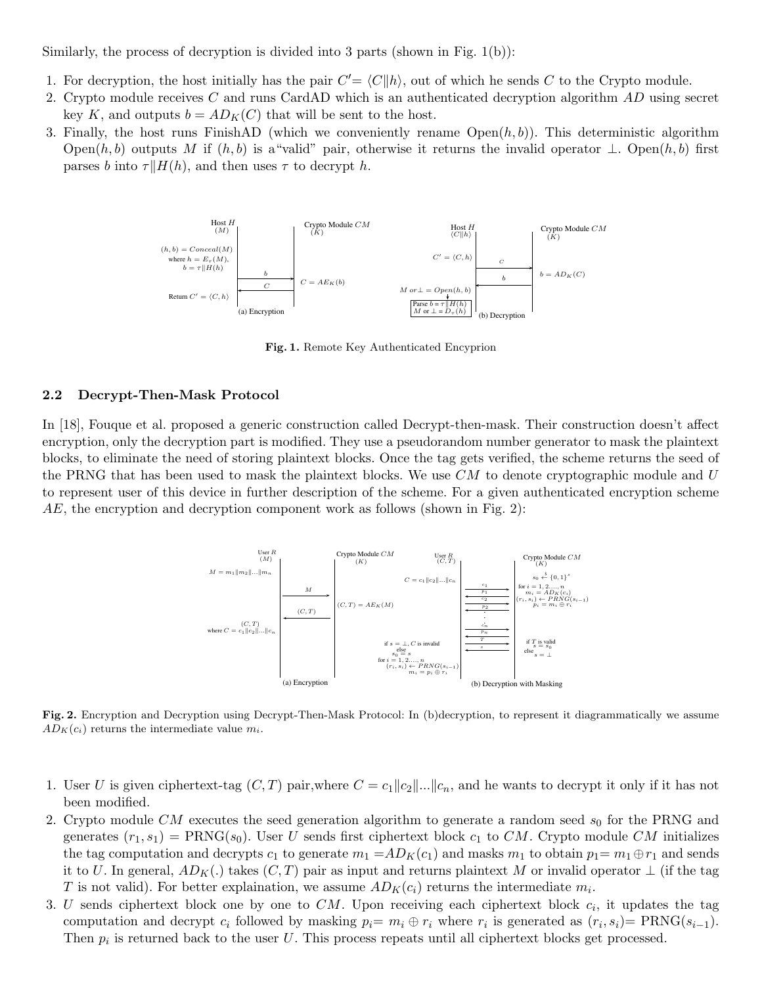Similarly, the process of decryption is divided into 3 parts (shown in Fig.  $1(b)$ ):

- 1. For decryption, the host initially has the pair  $C' = \langle C||h\rangle$ , out of which he sends C to the Crypto module.
- 2. Crypto module receives C and runs CardAD which is an authenticated decryption algorithm AD using secret key K, and outputs  $b = AD<sub>K</sub>(C)$  that will be sent to the host.
- 3. Finally, the host runs FinishAD (which we conveniently rename  $Open(h, b)$ ). This deterministic algorithm Open $(h, b)$  outputs M if  $(h, b)$  is a "valid" pair, otherwise it returns the invalid operator  $\perp$ . Open $(h, b)$  first parses b into  $\tau || H(h)$ , and then uses  $\tau$  to decrypt h.



Fig. 1. Remote Key Authenticated Encyprion

#### 2.2 Decrypt-Then-Mask Protocol

In [18], Fouque et al. proposed a generic construction called Decrypt-then-mask. Their construction doesn't affect encryption, only the decryption part is modified. They use a pseudorandom number generator to mask the plaintext blocks, to eliminate the need of storing plaintext blocks. Once the tag gets verified, the scheme returns the seed of the PRNG that has been used to mask the plaintext blocks. We use  $CM$  to denote cryptographic module and U to represent user of this device in further description of the scheme. For a given authenticated encryption scheme  $AE$ , the encryption and decryption component work as follows (shown in Fig. 2):



Fig. 2. Encryption and Decryption using Decrypt-Then-Mask Protocol: In (b)decryption, to represent it diagrammatically we assume  $AD_K(c_i)$  returns the intermediate value  $m_i$ .

- 1. User U is given ciphertext-tag  $(C, T)$  pair,where  $C = c_1 ||c_2||...||c_n$ , and he wants to decrypt it only if it has not been modified.
- 2. Crypto module  $CM$  executes the seed generation algorithm to generate a random seed  $s_0$  for the PRNG and generates  $(r_1, s_1)$  = PRNG( $s_0$ ). User U sends first ciphertext block  $c_1$  to CM. Crypto module CM initializes the tag computation and decrypts  $c_1$  to generate  $m_1 = AD_K(c_1)$  and masks  $m_1$  to obtain  $p_1 = m_1 \oplus r_1$  and sends it to U. In general,  $AD_K(.)$  takes  $(C, T)$  pair as input and returns plaintext M or invalid operator  $\perp$  (if the tag T is not valid). For better explaination, we assume  $AD_K(c_i)$  returns the intermediate  $m_i$ .
- 3. U sends ciphertext block one by one to  $CM$ . Upon receiving each ciphertext block  $c_i$ , it updates the tag computation and decrypt  $c_i$  followed by masking  $p_i = m_i \oplus r_i$  where  $r_i$  is generated as  $(r_i, s_i) = PRNG(s_{i-1})$ . Then  $p_i$  is returned back to the user U. This process repeats until all ciphertext blocks get processed.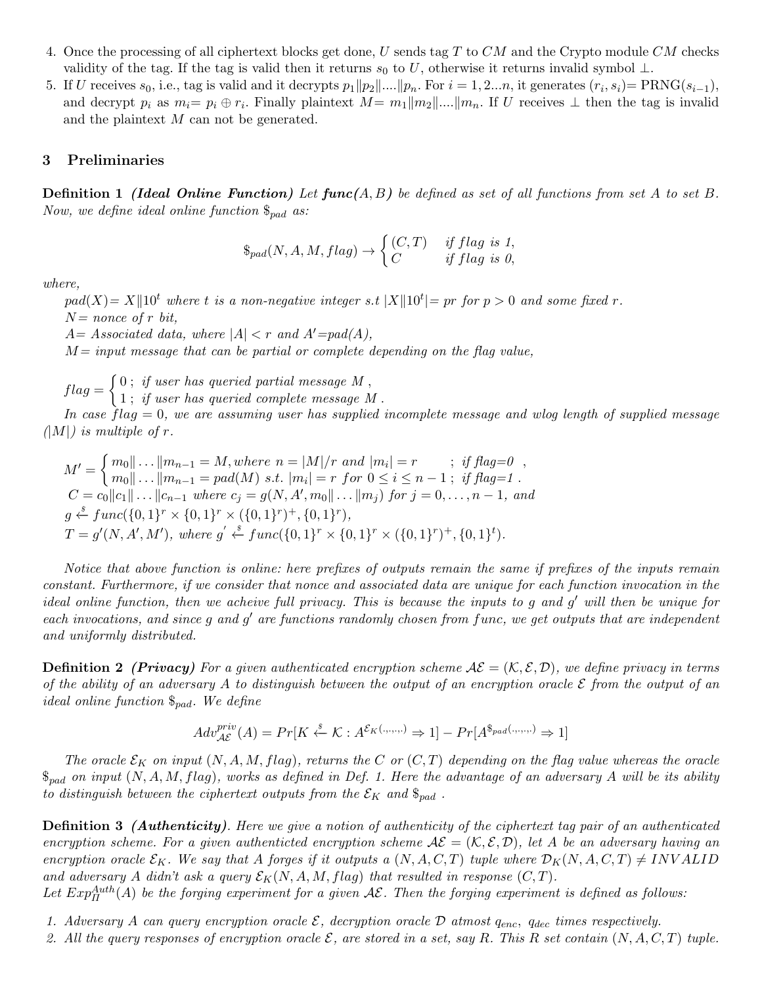- 4. Once the processing of all ciphertext blocks get done, U sends tag T to CM and the Crypto module CM checks validity of the tag. If the tag is valid then it returns s<sub>0</sub> to U, otherwise it returns invalid symbol  $\perp$ .
- 5. If U receives  $s_0$ , i.e., tag is valid and it decrypts  $p_1 || p_2 || \dots || p_n$ . For  $i = 1, 2...n$ , it generates  $(r_i, s_i) = \text{PRNG}(s_{i-1}),$ and decrypt  $p_i$  as  $m_i=p_i\oplus r_i$ . Finally plaintext  $M=m_1||m_2||...||m_n$ . If U receives  $\perp$  then the tag is invalid and the plaintext  $M$  can not be generated.

### 3 Preliminaries

**Definition 1** (Ideal Online Function) Let  $func(A, B)$  be defined as set of all functions from set A to set B. Now, we define ideal online function  $\mathcal{S}_{pad}$  as:

$$
\$_{pad}(N, A, M, flag) \rightarrow \begin{cases} (C, T) & if flag is 1, \\ C & if flag is 0, \end{cases}
$$

where,

 $pad(X) = X||10^t$  where t is a non-negative integer s.t  $|X||10^t| = pr$  for  $p > 0$  and some fixed r.  $N=$  nonce of r bit,

 $A= Associated\ data,\ where\ |A|< r\ and\ A'=pad(A),$ 

 $M = input$  message that can be partial or complete depending on the flag value,

 $flag = \begin{cases} 0 \; ; \; if \; user \; has \; queried \; partial \; message \; M \; , \end{cases}$ 

1 ; if user has queried complete message M .

In case  $flag = 0$ , we are assuming user has supplied incomplete message and wlog length of supplied message  $(|M|)$  is multiple of r.

 $M' = \begin{cases} m_0 \vert \vert \ldots \vert \vert m_{n-1} = M, \text{where } n = \vert M \vert / r \text{ and } \vert m_i \vert = r \end{cases}$ ; if  $\text{flag=0}$ ,  $m_0 \| \dots \| m_{n-1} = pad(M) \; s.t. \; |m_i| = r \; for \; 0 \le i \le n-1 \; ; \; \; if \; flag = 1 \; .$  $C = c_0 ||c_1|| \dots ||c_{n-1}$  where  $c_j = g(N, A', m_0 || \dots || m_j)$  for  $j = 0, \dots, n-1$ , and  $g \stackrel{\hspace{0.1em}\mathsf{\scriptscriptstyle\$}}{\leftarrow} func({0,1}^r \times {0,1}^r \times ({0,1}^r)^+, {0,1}^r),$  $T = g'(N, A', M'),$  where  $g' \stackrel{s}{\leftarrow} func({0, 1}^r \times {0, 1}^r \times ({0, 1}^r)^+, {0, 1}^t).$ 

Notice that above function is online: here prefixes of outputs remain the same if prefixes of the inputs remain constant. Furthermore, if we consider that nonce and associated data are unique for each function invocation in the ideal online function, then we acheive full privacy. This is because the inputs to g and g ′ will then be unique for each invocations, and since g and g' are functions randomly chosen from func, we get outputs that are independent and uniformly distributed.

**Definition 2** (Privacy) For a given authenticated encryption scheme  $A\mathcal{E} = (\mathcal{K}, \mathcal{E}, \mathcal{D})$ , we define privacy in terms of the ability of an adversary A to distinguish between the output of an encryption oracle  $\mathcal E$  from the output of an ideal online function  $\mathcal{S}_{pad}$ . We define

$$
Adv_{\mathcal{AE}}^{priv}(A) = Pr[K \stackrel{s}{\leftarrow} \mathcal{K} : A^{\mathcal{E}_{K}(\ldots, \ldots)} \Rightarrow 1] - Pr[A^{\$_{pad}(\ldots, \ldots)} \Rightarrow 1]
$$

The oracle  $\mathcal{E}_K$  on input  $(N, A, M, flag)$ , returns the C or  $(C, T)$  depending on the flag value whereas the oracle  $\$_{pad}$  on input  $(N, A, M, flag)$ , works as defined in Def. 1. Here the advantage of an adversary A will be its ability to distinguish between the ciphertext outputs from the  $\mathcal{E}_K$  and  $\mathbb{S}_{pad}$ .

**Definition 3** (**Authenticity**). Here we give a notion of authenticity of the ciphertext tag pair of an authenticated encryption scheme. For a given authenticted encryption scheme  $A\mathcal{E} = (\mathcal{K}, \mathcal{E}, \mathcal{D})$ , let A be an adversary having an encryption oracle  $\mathcal{E}_K$ . We say that A forges if it outputs a  $(N, A, C, T)$  tuple where  $\mathcal{D}_K(N, A, C, T) \neq INVALID$ and adversary A didn't ask a query  $\mathcal{E}_K(N, A, M, flag)$  that resulted in response  $(C, T)$ .

Let  $Exp^{Auth}_{\Pi}(A)$  be the forging experiment for a given  $\mathcal{AE}$ . Then the forging experiment is defined as follows:

- 1. Adversary A can query encryption oracle  $\mathcal{E}$ , decryption oracle  $\mathcal{D}$  atmost  $q_{enc}$ ,  $q_{dec}$  times respectively.
- 2. All the query responses of encryption oracle  $\mathcal E$ , are stored in a set, say R. This R set contain  $(N, A, C, T)$  tuple.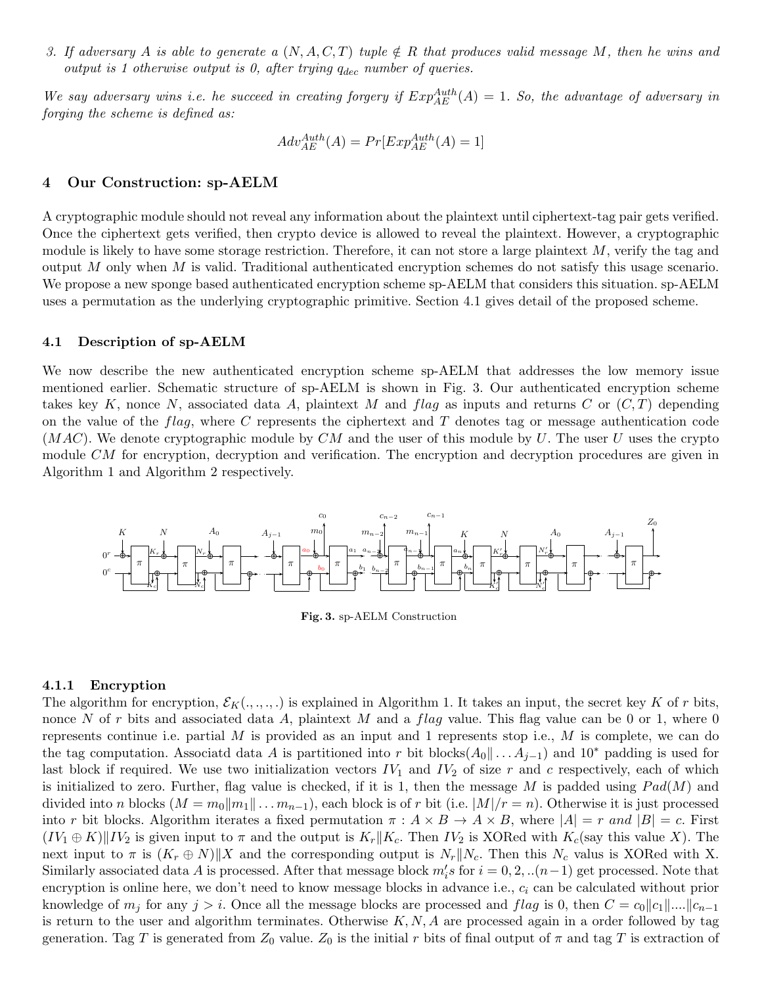3. If adversary A is able to generate a  $(N, A, C, T)$  tuple  $\notin R$  that produces valid message M, then he wins and output is 1 otherwise output is 0, after trying  $q_{dec}$  number of queries.

We say adversary wins i.e. he succeed in creating forgery if  $Exp_{AE}^{Author}(A) = 1$ . So, the advantage of adversary in forging the scheme is defined as:

$$
Adv_{AE}^{Author}(A) = Pr[Exp_{AE}^{Author}(A) = 1]
$$

### 4 Our Construction: sp-AELM

A cryptographic module should not reveal any information about the plaintext until ciphertext-tag pair gets verified. Once the ciphertext gets verified, then crypto device is allowed to reveal the plaintext. However, a cryptographic module is likely to have some storage restriction. Therefore, it can not store a large plaintext  $M$ , verify the tag and output M only when M is valid. Traditional authenticated encryption schemes do not satisfy this usage scenario. We propose a new sponge based authenticated encryption scheme sp-AELM that considers this situation. sp-AELM uses a permutation as the underlying cryptographic primitive. Section 4.1 gives detail of the proposed scheme.

### 4.1 Description of sp-AELM

We now describe the new authenticated encryption scheme sp-AELM that addresses the low memory issue mentioned earlier. Schematic structure of sp-AELM is shown in Fig. 3. Our authenticated encryption scheme takes key K, nonce N, associated data A, plaintext M and flag as inputs and returns C or  $(C, T)$  depending on the value of the  $flag$ , where C represents the ciphertext and T denotes tag or message authentication code  $(MAC)$ . We denote cryptographic module by CM and the user of this module by U. The user U uses the crypto module CM for encryption, decryption and verification. The encryption and decryption procedures are given in Algorithm 1 and Algorithm 2 respectively.



Fig. 3. sp-AELM Construction

#### 4.1.1 Encryption

The algorithm for encryption,  $\mathcal{E}_K(\ldots, \ldots)$  is explained in Algorithm 1. It takes an input, the secret key K of r bits, nonce N of r bits and associated data A, plaintext M and a flag value. This flag value can be 0 or 1, where 0 represents continue i.e. partial  $M$  is provided as an input and 1 represents stop i.e.,  $M$  is complete, we can do the tag computation. Associatd data A is partitioned into r bit blocks( $A_0 \| \ldots A_{j-1}$ ) and  $10^*$  padding is used for last block if required. We use two initialization vectors  $IV_1$  and  $IV_2$  of size r and c respectively, each of which is initialized to zero. Further, flag value is checked, if it is 1, then the message M is padded using  $Pad(M)$  and divided into n blocks  $(M = m_0||m_1|| \ldots m_{n-1})$ , each block is of r bit (i.e.  $|M|/r = n$ ). Otherwise it is just processed into r bit blocks. Algorithm iterates a fixed permutation  $\pi : A \times B \to A \times B$ , where  $|A| = r$  and  $|B| = c$ . First  $(IV_1 \oplus K)\|IV_2$  is given input to  $\pi$  and the output is  $K_r\|K_c$ . Then  $IV_2$  is XORed with  $K_c$ (say this value X). The next input to  $\pi$  is  $(K_r \oplus N)$  X and the corresponding output is  $N_r||N_c$ . Then this  $N_c$  valus is XORed with X. Similarly associated data A is processed. After that message block  $m_i's$  for  $i = 0, 2, ..(n-1)$  get processed. Note that encryption is online here, we don't need to know message blocks in advance i.e.,  $c_i$  can be calculated without prior knowledge of  $m_j$  for any  $j > i$ . Once all the message blocks are processed and flag is 0, then  $C = c_0||c_1||...||c_{n-1}$ is return to the user and algorithm terminates. Otherwise  $K, N, A$  are processed again in a order followed by tag generation. Tag T is generated from  $Z_0$  value.  $Z_0$  is the initial r bits of final output of  $\pi$  and tag T is extraction of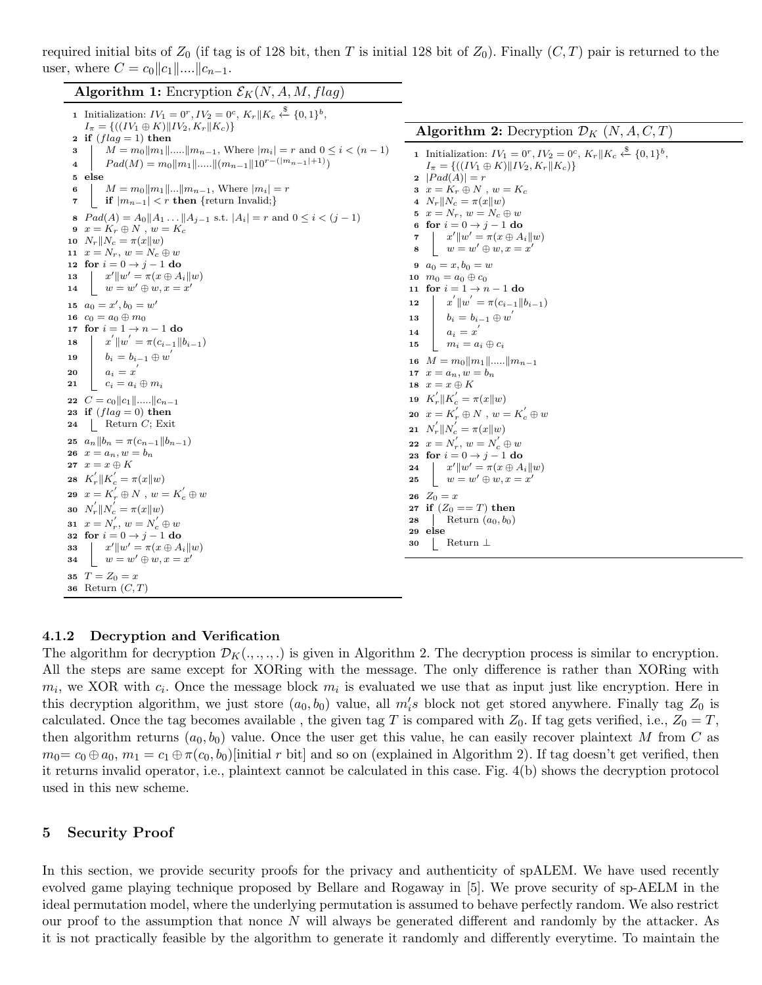required initial bits of  $Z_0$  (if tag is of 128 bit, then T is initial 128 bit of  $Z_0$ ). Finally  $(C,T)$  pair is returned to the user, where  $C = c_0 ||c_1|| ... ||c_{n-1}$ .

**Algorithm 1:** Encryption  $\mathcal{E}_K(N, A, M, flag)$ 

1 Initialization:  $IV_1 = 0^r, IV_2 = 0^c, K_r || K_c \stackrel{\$}{\leftarrow} \{0, 1\}^b,$  $I_{\pi} = \{((IV_1 \oplus K) || IV_2, K_r || K_c)\}\$ 2 if  $(flag = 1)$  then 3  $\mid M = m_0||m_1|| \dots ||m_{n-1}$ , Where  $|m_i| = r$  and  $0 \le i \lt (n-1)$ 4  $\mid$   $Pad(M) = m_0||m_1||.....||(m_{n-1}||10^{r-(|m_{n-1}|+1)})$ 5 else 6  $M = m_0||m_1||...||m_{n-1}$ , Where  $|m_i| = r$ 7 if  $|m_{n-1}| < r$  then {return Invalid;} 8  $Pad(A) = A_0 || A_1 ... || A_{j-1}$  s.t.  $|A_i| = r$  and  $0 \le i \le (j-1)$ 9  $x = K_r \oplus N$ ,  $w = K_c$ 10  $N_r||N_c = \pi(x||w)$ 11  $x = N_r, w = N_c \oplus w$ 12 for  $i = 0 \rightarrow j - 1$  do 13  $\|x'\|w' = \pi(x \oplus A_i \|w)$ 14  $w = w' \oplus w, x = x'$ 15  $a_0 = x', b_0 = w'$ 16  $c_0 = a_0 \oplus m_0$ 17 for  $i=1 \rightarrow n-1$ do 18  $\|\x^{'}\|w^{'} = \pi(c_{i-1}\|b_{i-1})$ 19  $b_i = b_{i-1} \oplus w'$  $\begin{array}{|c|c|} \hline \textbf{20} & a_i = x' \hline \end{array}$ 21  $c_i = a_i \oplus m_i$ 22  $C = c_0 ||c_1|| \dots ||c_{n-1}$ 23 if  $(flag = 0)$  then 24 | Return  $C$ ; Exit 25  $a_n||b_n = \pi(c_{n-1}||b_{n-1})$ 26  $x = a_n, w = b_n$ 27  $x = x \oplus K$ 28  $K'_r \| K'_c = \pi(x \| w)$ 29  $x = K'_r \oplus N$ ,  $w = K'_c \oplus w$ 30  $N'_r \| N'_c = \pi(x \| w)$ 31  $x = N'_r, w = N'_c \oplus w$ 32 for  $i = 0 \rightarrow j - 1$  do 33  $\|x'\|w' = \pi(x \oplus A_i \|w)$  $\begin{array}{cc} 34 & w = w' \oplus w, x = x' \end{array}$ 35  $T = Z_0 = x$ 36 Return  $(C, T)$ **Algorithm 2:** Decryption  $\mathcal{D}_K$   $(N, A, C, T)$ 1 Initialization:  $IV_1 = 0^r, IV_2 = 0^c, K_r || K_c \stackrel{\$}{\leftarrow} \{0, 1\}^b,$  $I_{\pi} = \{((IV_1 \oplus K) || IV_2, K_r || K_c)\}\$ 2  $|Pad(A)| = r$ 3  $x = K_r \oplus N$ ,  $w = K_c$ 4  $N_r||N_c = \pi(x||w)$ 5  $x = N_r$ ,  $w = N_c \oplus w$ 6 for  $i = 0 \rightarrow j - 1$  do 7  $\vert x' \vert \vert w' = \pi(x \oplus A_i \vert \vert w)$  $\begin{array}{ccc} \mathbf{8} & w = w' \oplus w, x = x' \end{array}$ 9  $a_0 = x, b_0 = w$ 10  $m_0 = a_0 \oplus c_0$ 11 for  $i = 1 \rightarrow n - 1$  do 12  $\|\vec{x}'\|w' = \pi(c_{i-1}||b_{i-1})$  $\boxed{\quad b_i=b_{i-1}\oplus w' \quad}$  $\begin{array}{|c|c|} \hline \textbf{14} & a_i = x^{'} \ \hline \end{array}$ 15  $m_i = a_i \oplus c_i$ 16  $M = m_0||m_1||...||m_{n-1}$ 17  $x = a_n, w = b_n$ 18  $\,x = x \oplus K$ 19  $K_r^{'} \| K_c^{'} = \pi(x \| w)$ 20  $x = K'_r \oplus N$ ,  $w = K'_c \oplus w$ 21  $N'_r \| N'_c = \pi(x \| w)$ 22  $x = N'_r, w = N'_c \oplus w$ 23 for  $i = 0 \rightarrow j - 1$  do 24  $x' \| w' = \pi (x \oplus A_i \| w)$  $\begin{array}{cc} \textbf{25} & w = w' \oplus w, x = x' \end{array}$ 26  $Z_0 = x$ 27 if  $(Z_0 == T)$  then 28 | Return  $(a_0, b_0)$ 29 else 30 Return ⊥

### 4.1.2 Decryption and Verification

The algorithm for decryption  $\mathcal{D}_K(\ldots,\ldots)$  is given in Algorithm 2. The decryption process is similar to encryption. All the steps are same except for XORing with the message. The only difference is rather than XORing with  $m_i$ , we XOR with  $c_i$ . Once the message block  $m_i$  is evaluated we use that as input just like encryption. Here in this decryption algorithm, we just store  $(a_0, b_0)$  value, all  $m_i$ 's block not get stored anywhere. Finally tag  $Z_0$  is calculated. Once the tag becomes available, the given tag T is compared with  $Z_0$ . If tag gets verified, i.e.,  $Z_0 = T$ , then algorithm returns  $(a_0, b_0)$  value. Once the user get this value, he can easily recover plaintext M from C as  $m_0 = c_0 \oplus a_0$ ,  $m_1 = c_1 \oplus \pi(c_0, b_0)$ [initial r bit] and so on (explained in Algorithm 2). If tag doesn't get verified, then it returns invalid operator, i.e., plaintext cannot be calculated in this case. Fig. 4(b) shows the decryption protocol used in this new scheme.

#### 5 Security Proof

In this section, we provide security proofs for the privacy and authenticity of spALEM. We have used recently evolved game playing technique proposed by Bellare and Rogaway in [5]. We prove security of sp-AELM in the ideal permutation model, where the underlying permutation is assumed to behave perfectly random. We also restrict our proof to the assumption that nonce  $N$  will always be generated different and randomly by the attacker. As it is not practically feasible by the algorithm to generate it randomly and differently everytime. To maintain the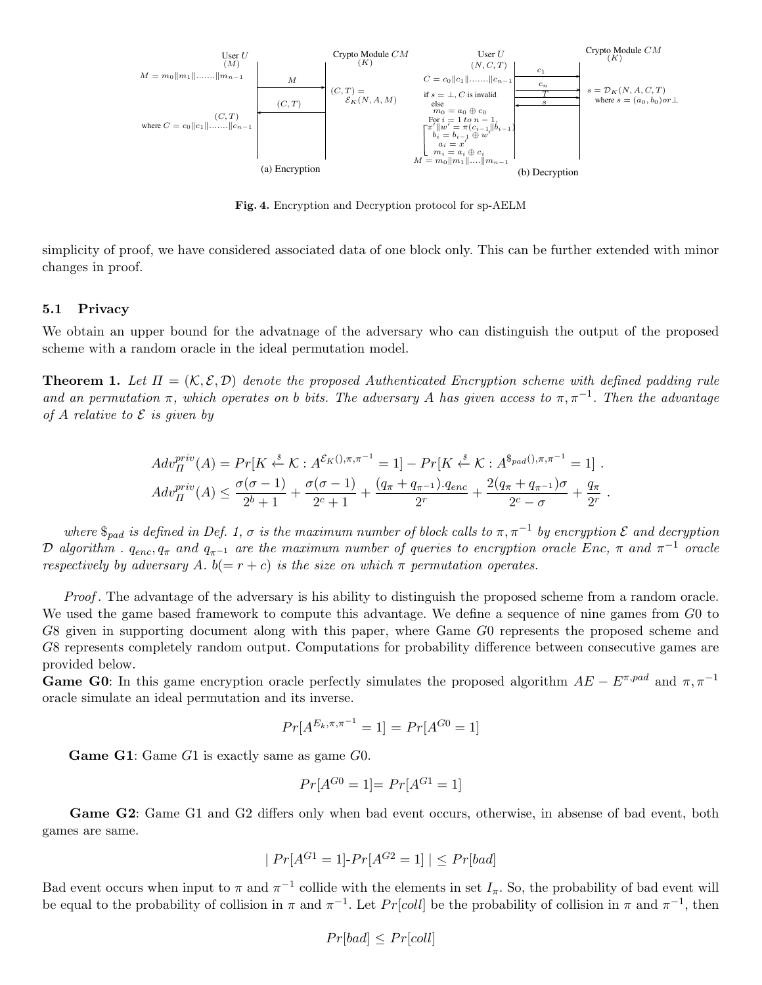

Fig. 4. Encryption and Decryption protocol for sp-AELM

simplicity of proof, we have considered associated data of one block only. This can be further extended with minor changes in proof.

#### 5.1 Privacy

We obtain an upper bound for the advatnage of the adversary who can distinguish the output of the proposed scheme with a random oracle in the ideal permutation model.

**Theorem 1.** Let  $\Pi = (\mathcal{K}, \mathcal{E}, \mathcal{D})$  denote the proposed Authenticated Encryption scheme with defined padding rule and an permutation  $\pi$ , which operates on b bits. The adversary A has given access to  $\pi$ ,  $\pi^{-1}$ . Then the advantage of A relative to  $\mathcal E$  is given by

$$
Adv_{\Pi}^{priv}(A) = Pr[K \stackrel{s}{\leftarrow} K : A^{\mathcal{E}_{K}( ),\pi,\pi^{-1} } = 1] - Pr[K \stackrel{s}{\leftarrow} K : A^{\$_{pad}( ),\pi,\pi^{-1} } = 1] .
$$
  
\n
$$
Adv_{\Pi}^{priv}(A) \leq \frac{\sigma(\sigma - 1)}{2^{b} + 1} + \frac{\sigma(\sigma - 1)}{2^{c} + 1} + \frac{(q_{\pi} + q_{\pi^{-1}}).q_{enc}}{2^{r}} + \frac{2(q_{\pi} + q_{\pi^{-1}})\sigma}{2^{c} - \sigma} + \frac{q_{\pi}}{2^{r}} .
$$

where  $\mathcal{S}_{pad}$  is defined in Def. 1,  $\sigma$  is the maximum number of block calls to  $\pi, \pi^{-1}$  by encryption  $\mathcal E$  and decryption D algorithm .  $q_{enc}, q_{\pi}$  and  $q_{\pi^{-1}}$  are the maximum number of queries to encryption oracle Enc,  $\pi$  and  $\pi^{-1}$  oracle respectively by adversary A.  $b(= r + c)$  is the size on which  $\pi$  permutation operates.

Proof . The advantage of the adversary is his ability to distinguish the proposed scheme from a random oracle. We used the game based framework to compute this advantage. We define a sequence of nine games from  $G_0$  to G8 given in supporting document along with this paper, where Game G0 represents the proposed scheme and G8 represents completely random output. Computations for probability difference between consecutive games are provided below.

**Game G0:** In this game encryption oracle perfectly simulates the proposed algorithm  $AE - E^{\pi, pad}$  and  $\pi, \pi^{-1}$ oracle simulate an ideal permutation and its inverse.

$$
Pr[A^{E_k, \pi, \pi^{-1}} = 1] = Pr[A^{G0} = 1]
$$

Game G1: Game G1 is exactly same as game G0.

$$
Pr[A^{G0} = 1] = Pr[A^{G1} = 1]
$$

Game G2: Game G1 and G2 differs only when bad event occurs, otherwise, in absense of bad event, both games are same.

$$
|Pr[A^{G1} = 1] \cdot Pr[A^{G2} = 1]| \le Pr[bad]
$$

Bad event occurs when input to  $\pi$  and  $\pi^{-1}$  collide with the elements in set  $I_{\pi}$ . So, the probability of bad event will be equal to the probability of collision in  $\pi$  and  $\pi^{-1}$ . Let  $Pr[coll]$  be the probability of collision in  $\pi$  and  $\pi^{-1}$ , then

$$
Pr[bad] \le Pr[coll]
$$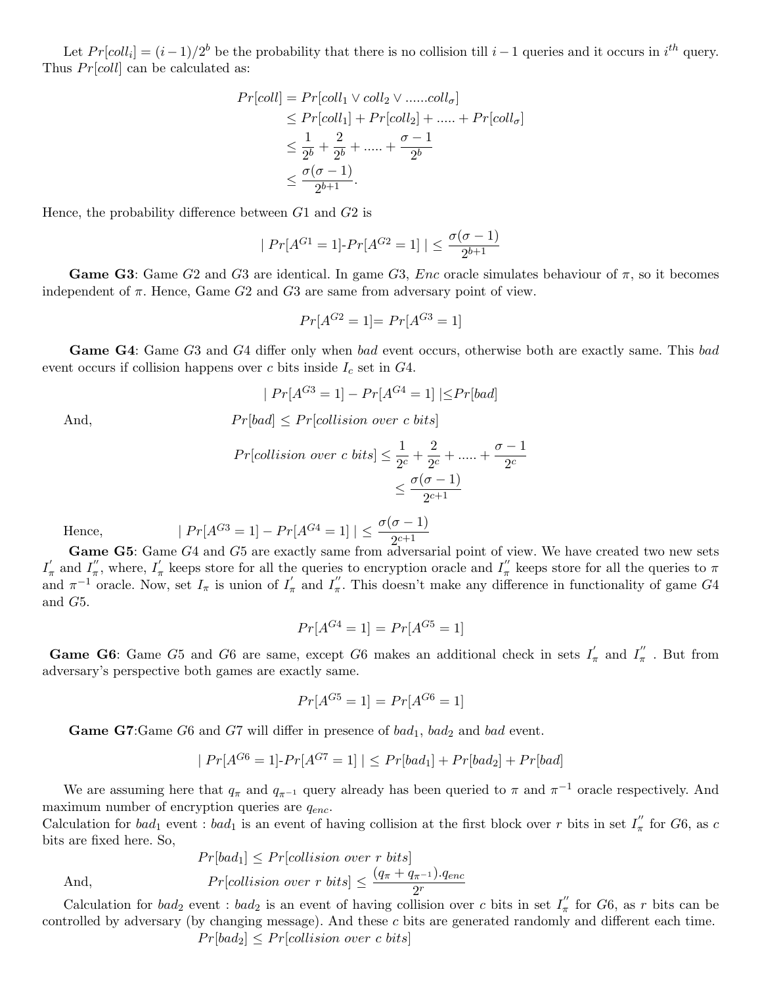Let  $Pr[coll_i] = (i-1)/2^b$  be the probability that there is no collision till  $i-1$  queries and it occurs in  $i^{th}$  query. Thus  $Pr[coll]$  can be calculated as:

$$
Pr[coll] = Pr[coll_1 \vee coll_2 \vee ......coll_{\sigma}]
$$
  
\n
$$
\leq Pr[coll_1] + Pr[coll_2] + ...... + Pr[coll_{\sigma}]
$$
  
\n
$$
\leq \frac{1}{2^b} + \frac{2}{2^b} + ...... + \frac{\sigma - 1}{2^b}
$$
  
\n
$$
\leq \frac{\sigma(\sigma - 1)}{2^{b+1}}.
$$

Hence, the probability difference between G1 and G2 is

$$
|Pr[A^{G1} = 1] \cdot Pr[A^{G2} = 1]| \le \frac{\sigma(\sigma - 1)}{2^{b+1}}
$$

**Game G3:** Game G2 and G3 are identical. In game G3, *Enc* oracle simulates behaviour of  $\pi$ , so it becomes independent of  $\pi$ . Hence, Game G2 and G3 are same from adversary point of view.

$$
Pr[A^{G2} = 1] = Pr[A^{G3} = 1]
$$

Game G4: Game G3 and G4 differ only when bad event occurs, otherwise both are exactly same. This bad event occurs if collision happens over c bits inside  $I_c$  set in  $G4$ .

$$
|Pr[A^{G3} = 1] - Pr[A^{G4} = 1] | \leq Pr[bad]
$$
  
And, 
$$
Pr[bad] \leq Pr[collision over c bits]
$$

$$
\quad \text{And},
$$

 $Pr[collision over c bits] \leq \frac{1}{20}$  $\frac{1}{2^c} + \frac{2}{2^c}$  $\frac{2}{2^c} + \dots + \frac{\sigma - 1}{2^c}$  $2<sup>c</sup>$  $\leq \frac{\sigma(\sigma-1)}{\sigma c+1}$  $2^{c+1}$ 

Hence,  $|Pr[A^{G3} = 1] - Pr[A^{G4} = 1] | \leq \frac{\sigma(\sigma - 1)}{2^{c+1}}$ 

Game G5: Game G4 and G5 are exactly same from adversarial point of view. We have created two new sets  $I'_\pi$  and  $I''_\pi$ , where,  $I'_\pi$  keeps store for all the queries to encryption oracle and  $I''_\pi$  keeps store for all the queries to  $\pi$ and  $\pi^{-1}$  oracle. Now, set  $I_{\pi}$  is union of  $I'_{\pi}$  and  $I''_{\pi}$ . This doesn't make any difference in functionality of game G4 and G5.

$$
Pr[A^{G4} = 1] = Pr[A^{G5} = 1]
$$

**Game G6:** Game G5 and G6 are same, except G6 makes an additional check in sets  $I'_\pi$  and  $I''_\pi$ . But from adversary's perspective both games are exactly same.

$$
Pr[A^{G5} = 1] = Pr[A^{G6} = 1]
$$

**Game G7**:Game G6 and G7 will differ in presence of  $bad_1$ ,  $bad_2$  and  $bad$  event.

$$
|Pr[A^{G6} = 1] \cdot Pr[A^{G7} = 1]| \leq Pr[bad_1] + Pr[bad_2] + Pr[bad]
$$

We are assuming here that  $q_{\pi}$  and  $q_{\pi^{-1}}$  query already has been queried to  $\pi$  and  $\pi^{-1}$  oracle respectively. And maximum number of encryption queries are  $q_{enc}$ .

Calculation for  $bad_1$  event :  $bad_1$  is an event of having collision at the first block over r bits in set  $I''_{\pi}$  for  $G6$ , as c bits are fixed here. So,

$$
Pr[bad_1] \le Pr[collision over r bits]
$$
  
And, 
$$
Pr[collision over r bits] \le \frac{(q_{\pi} + q_{\pi^{-1}}).q_{enc}}{2^r}
$$

Calculation for  $bad_2$  event :  $bad_2$  is an event of having collision over c bits in set  $I''_{\pi}$  for G6, as r bits can be controlled by adversary (by changing message). And these c bits are generated randomly and different each time.  $Pr[bad_2] \leq Pr[collision over c bits]$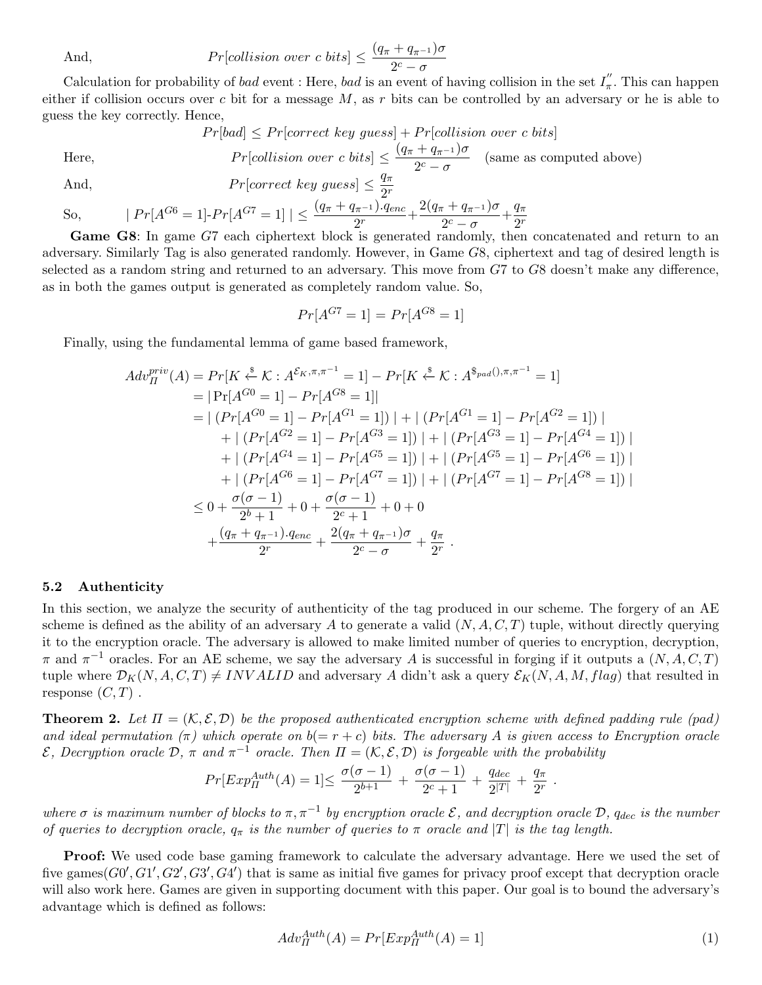And, 
$$
Pr[collision over c bits] \leq \frac{(q_{\pi} + q_{\pi^{-1}})\sigma}{2^{c} - \sigma}
$$

Calculation for probability of *bad* event : Here, *bad* is an event of having collision in the set  $I''_{\pi}$ . This can happen either if collision occurs over  $c$  bit for a message  $M$ , as  $r$  bits can be controlled by an adversary or he is able to guess the key correctly. Hence,

$$
Pr[bad] \le Pr[correct\ key\ guess] + Pr[collision\ over\ c\ bits]
$$
  
Here,  

$$
Pr[collision\ over\ c\ bits] \le \frac{(q_{\pi} + q_{\pi^{-1}})\sigma}{2^{c} - \sigma}
$$
 (same as computed above)

And, 
$$
Pr[correct\ key\ guess] \leq \frac{q_{\pi}}{2^r}
$$

So, 
$$
|Pr[A^{G6} = 1] \cdot Pr[A^{G7} = 1]| \leq \frac{(q_{\pi} + q_{\pi^{-1}}).q_{enc}}{2^{r}} + \frac{2(q_{\pi} + q_{\pi^{-1}})\sigma}{2^{c} - \sigma} + \frac{q_{\pi}}{2^{r}}
$$

Game G8: In game G7 each ciphertext block is generated randomly, then concatenated and return to an adversary. Similarly Tag is also generated randomly. However, in Game G8, ciphertext and tag of desired length is selected as a random string and returned to an adversary. This move from G7 to G8 doesn't make any difference, as in both the games output is generated as completely random value. So,

$$
Pr[A^{G7} = 1] = Pr[A^{G8} = 1]
$$

Finally, using the fundamental lemma of game based framework,

$$
Adv_{\Pi}^{priv}(A) = Pr[K \stackrel{\$}{\leftarrow} K : A^{\mathcal{E}_{K}, \pi, \pi^{-1}} = 1] - Pr[K \stackrel{\$}{\leftarrow} K : A^{\$pad(), \pi, \pi^{-1}} = 1]
$$
  
\n
$$
= |\Pr[A^{G0} = 1] - Pr[A^{G8} = 1]|
$$
  
\n
$$
= |\left(Pr[A^{G0} = 1] - Pr[A^{G1} = 1]\right)| + |\left(Pr[A^{G1} = 1] - Pr[A^{G2} = 1]\right)|
$$
  
\n
$$
+ |\left(Pr[A^{G2} = 1] - Pr[A^{G3} = 1]\right)| + |\left(Pr[A^{G3} = 1] - Pr[A^{G4} = 1]\right)|
$$
  
\n
$$
+ |\left(Pr[A^{G4} = 1] - Pr[A^{G5} = 1]\right)| + |\left(Pr[A^{G5} = 1] - Pr[A^{G6} = 1]\right)|
$$
  
\n
$$
+ |\left(Pr[A^{G6} = 1] - Pr[A^{G7} = 1]\right)| + |\left(Pr[A^{G7} = 1] - Pr[A^{G8} = 1]\right)|
$$
  
\n
$$
\leq 0 + \frac{\sigma(\sigma - 1)}{2^b + 1} + 0 + \frac{\sigma(\sigma - 1)}{2^c + 1} + 0 + 0
$$
  
\n
$$
+ \frac{(q_{\pi} + q_{\pi^{-1}}).q_{enc}}{2^r} + \frac{2(q_{\pi} + q_{\pi^{-1}})\sigma}{2^c - \sigma} + \frac{q_{\pi}}{2^r}.
$$

#### 5.2 Authenticity

In this section, we analyze the security of authenticity of the tag produced in our scheme. The forgery of an AE scheme is defined as the ability of an adversary A to generate a valid  $(N, A, C, T)$  tuple, without directly querying it to the encryption oracle. The adversary is allowed to make limited number of queries to encryption, decryption,  $\pi$  and  $\pi^{-1}$  oracles. For an AE scheme, we say the adversary A is successful in forging if it outputs a  $(N, A, C, T)$ tuple where  $\mathcal{D}_K(N, A, C, T) \neq INVALID$  and adversary A didn't ask a query  $\mathcal{E}_K(N, A, M, flag)$  that resulted in response  $(C, T)$ .

**Theorem 2.** Let  $\Pi = (\mathcal{K}, \mathcal{E}, \mathcal{D})$  be the proposed authenticated encryption scheme with defined padding rule (pad) and ideal permutation  $(\pi)$  which operate on  $b(= r + c)$  bits. The adversary A is given access to Encryption oracle  $\mathcal E$ , Decryption oracle D, π and  $\pi^{-1}$  oracle. Then  $\Pi = (\mathcal K, \mathcal E, \mathcal D)$  is forgeable with the probability

$$
Pr[Exp^{Auth}_\Pi(A) = 1] \leq \frac{\sigma(\sigma - 1)}{2^{b+1}} + \frac{\sigma(\sigma - 1)}{2^c + 1} + \frac{q_{dec}}{2^{|T|}} + \frac{q_{\pi}}{2^r}.
$$

where  $\sigma$  is maximum number of blocks to  $\pi$ ,  $\pi^{-1}$  by encryption oracle  $\mathcal{E}$ , and decryption oracle  $\mathcal{D}$ ,  $q_{dec}$  is the number of queries to decryption oracle,  $q_{\pi}$  is the number of queries to  $\pi$  oracle and |T| is the tag length.

Proof: We used code base gaming framework to calculate the adversary advantage. Here we used the set of five games $(G0', G1', G2', G3', G4')$  that is same as initial five games for privacy proof except that decryption oracle will also work here. Games are given in supporting document with this paper. Our goal is to bound the adversary's advantage which is defined as follows:

$$
Adv_{\Pi}^{Author}(A) = Pr[Exp_{\Pi}^{Author}(A) = 1]
$$
\n(1)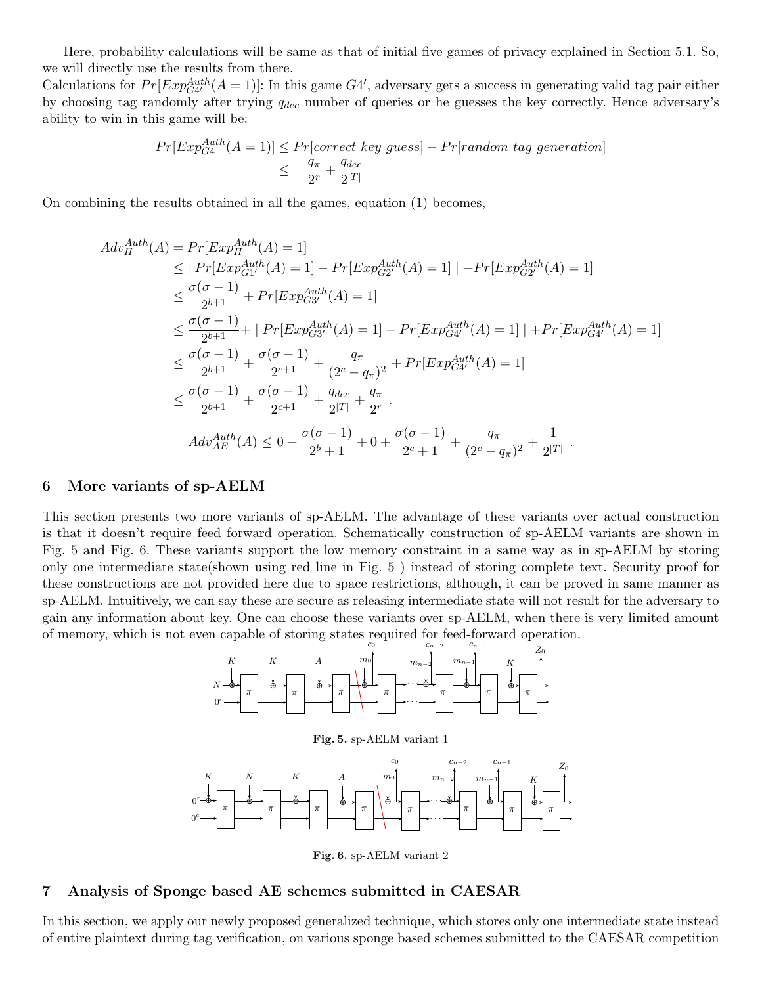Here, probability calculations will be same as that of initial five games of privacy explained in Section 5.1. So, we will directly use the results from there.

Calculations for  $Pr[Exp_{G4'}^{Author}(A=1)]$ : In this game  $G4'$ , adversary gets a success in generating valid tag pair either by choosing tag randomly after trying  $q_{dec}$  number of queries or he guesses the key correctly. Hence adversary's ability to win in this game will be:

$$
Pr[Exp_{G4}^{Author}(A=1)] \le Pr[correct\ key\ guess] + Pr[random\ tag\ generation]
$$
  

$$
\leq \frac{q_{\pi}}{2^{r}} + \frac{q_{dec}}{2^{|T|}}
$$

On combining the results obtained in all the games, equation (1) becomes,

$$
Adv_{\Pi}^{Auth}(A) = Pr[Exp_{\Pi}^{Auth}(A) = 1] \n\leq |Pr[Exp_{G1'}^{Auth}(A) = 1] - Pr[Exp_{G2'}^{Auth}(A) = 1] | + Pr[Exp_{G2'}^{Auth}(A) = 1] \n\leq \frac{\sigma(\sigma - 1)}{2^{b+1}} + Pr[Exp_{G3'}^{Auth}(A) = 1] \n\leq \frac{\sigma(\sigma - 1)}{2^{b+1}} + |Pr[Exp_{G3'}^{Auth}(A) = 1] - Pr[Exp_{G4'}^{Auth}(A) = 1] | + Pr[Exp_{G4'}^{Auth}(A) = 1] \n\leq \frac{\sigma(\sigma - 1)}{2^{b+1}} + \frac{\sigma(\sigma - 1)}{2^{c+1}} + \frac{q_{\pi}}{(2^{c} - q_{\pi})^{2}} + Pr[Exp_{G4'}^{Auth}(A) = 1] \n\leq \frac{\sigma(\sigma - 1)}{2^{b+1}} + \frac{\sigma(\sigma - 1)}{2^{c+1}} + \frac{q_{dec}}{2^{c+1}} + \frac{q_{\pi}}{2^{r}}.
$$
\n
$$
Adv_{AE}^{Auth}(A) \leq 0 + \frac{\sigma(\sigma - 1)}{2^{b+1}} + 0 + \frac{\sigma(\sigma - 1)}{2^{c} + 1} + \frac{q_{\pi}}{(2^{c} - q_{\pi})^{2}} + \frac{1}{2^{\vert T \vert}}.
$$

#### 6 More variants of sp-AELM

This section presents two more variants of sp-AELM. The advantage of these variants over actual construction is that it doesn't require feed forward operation. Schematically construction of sp-AELM variants are shown in Fig. 5 and Fig. 6. These variants support the low memory constraint in a same way as in sp-AELM by storing only one intermediate state(shown using red line in Fig. 5 ) instead of storing complete text. Security proof for these constructions are not provided here due to space restrictions, although, it can be proved in same manner as sp-AELM. Intuitively, we can say these are secure as releasing intermediate state will not result for the adversary to gain any information about key. One can choose these variants over sp-AELM, when there is very limited amount of memory, which is not even capable of storing states required for feed-forward operation.



Fig. 6. sp-AELM variant 2

#### 7 Analysis of Sponge based AE schemes submitted in CAESAR

In this section, we apply our newly proposed generalized technique, which stores only one intermediate state instead of entire plaintext during tag verification, on various sponge based schemes submitted to the CAESAR competition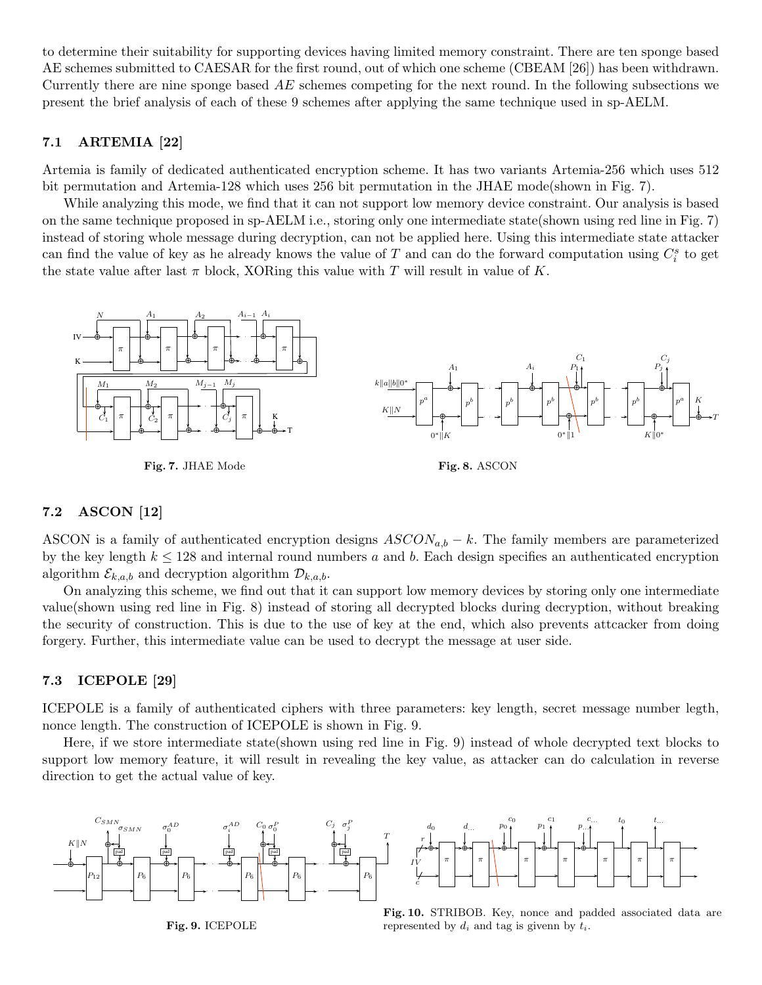to determine their suitability for supporting devices having limited memory constraint. There are ten sponge based AE schemes submitted to CAESAR for the first round, out of which one scheme (CBEAM [26]) has been withdrawn. Currently there are nine sponge based  $AE$  schemes competing for the next round. In the following subsections we present the brief analysis of each of these 9 schemes after applying the same technique used in sp-AELM.

### 7.1 ARTEMIA [22]

Artemia is family of dedicated authenticated encryption scheme. It has two variants Artemia-256 which uses 512 bit permutation and Artemia-128 which uses 256 bit permutation in the JHAE mode(shown in Fig. 7).

While analyzing this mode, we find that it can not support low memory device constraint. Our analysis is based on the same technique proposed in sp-AELM i.e., storing only one intermediate state(shown using red line in Fig. 7) instead of storing whole message during decryption, can not be applied here. Using this intermediate state attacker can find the value of key as he already knows the value of T and can do the forward computation using  $C_i^s$  to get the state value after last  $\pi$  block, XORing this value with T will result in value of K.



### 7.2 ASCON [12]

ASCON is a family of authenticated encryption designs  $ASCON_{a,b} - k$ . The family members are parameterized by the key length  $k \leq 128$  and internal round numbers a and b. Each design specifies an authenticated encryption algorithm  $\mathcal{E}_{k,a,b}$  and decryption algorithm  $\mathcal{D}_{k,a,b}$ .

On analyzing this scheme, we find out that it can support low memory devices by storing only one intermediate value(shown using red line in Fig. 8) instead of storing all decrypted blocks during decryption, without breaking the security of construction. This is due to the use of key at the end, which also prevents attcacker from doing forgery. Further, this intermediate value can be used to decrypt the message at user side.

### 7.3 ICEPOLE [29]

ICEPOLE is a family of authenticated ciphers with three parameters: key length, secret message number legth, nonce length. The construction of ICEPOLE is shown in Fig. 9.

Here, if we store intermediate state(shown using red line in Fig. 9) instead of whole decrypted text blocks to support low memory feature, it will result in revealing the key value, as attacker can do calculation in reverse direction to get the actual value of key.



Fig. 9. ICEPOLE



Fig. 10. STRIBOB. Key, nonce and padded associated data are represented by  $d_i$  and tag is given by  $t_i$ .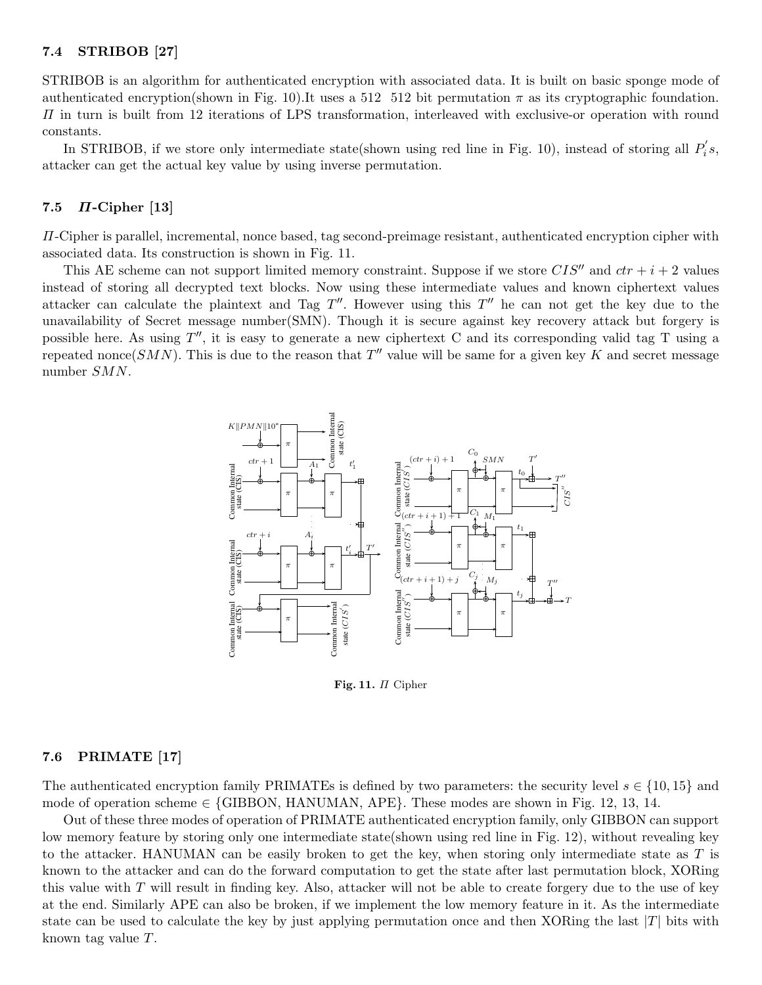#### 7.4 STRIBOB [27]

STRIBOB is an algorithm for authenticated encryption with associated data. It is built on basic sponge mode of authenticated encryption(shown in Fig. 10). It uses a 512 512 bit permutation  $\pi$  as its cryptographic foundation.  $\Pi$  in turn is built from 12 iterations of LPS transformation, interleaved with exclusive-or operation with round constants.

In STRIBOB, if we store only intermediate state(shown using red line in Fig. 10), instead of storing all  $P'_i$  $i^{\prime}s,$ attacker can get the actual key value by using inverse permutation.

### 7.5  $\Pi$ -Cipher [13]

Π-Cipher is parallel, incremental, nonce based, tag second-preimage resistant, authenticated encryption cipher with associated data. Its construction is shown in Fig. 11.

This AE scheme can not support limited memory constraint. Suppose if we store  $CIS''$  and  $ctr + i + 2$  values instead of storing all decrypted text blocks. Now using these intermediate values and known ciphertext values attacker can calculate the plaintext and Tag  $T''$ . However using this  $T''$  he can not get the key due to the unavailability of Secret message number(SMN). Though it is secure against key recovery attack but forgery is possible here. As using  $T''$ , it is easy to generate a new ciphertext C and its corresponding valid tag T using a repeated nonce(SMN). This is due to the reason that  $T''$  value will be same for a given key K and secret message number SMN.



Fig. 11. Π Cipher

#### 7.6 PRIMATE [17]

The authenticated encryption family PRIMATEs is defined by two parameters: the security level  $s \in \{10, 15\}$  and mode of operation scheme  $\in$  {GIBBON, HANUMAN, APE}. These modes are shown in Fig. 12, 13, 14.

Out of these three modes of operation of PRIMATE authenticated encryption family, only GIBBON can support low memory feature by storing only one intermediate state(shown using red line in Fig. 12), without revealing key to the attacker. HANUMAN can be easily broken to get the key, when storing only intermediate state as  $T$  is known to the attacker and can do the forward computation to get the state after last permutation block, XORing this value with  $T$  will result in finding key. Also, attacker will not be able to create forgery due to the use of key at the end. Similarly APE can also be broken, if we implement the low memory feature in it. As the intermediate state can be used to calculate the key by just applying permutation once and then XORing the last  $|T|$  bits with known tag value T.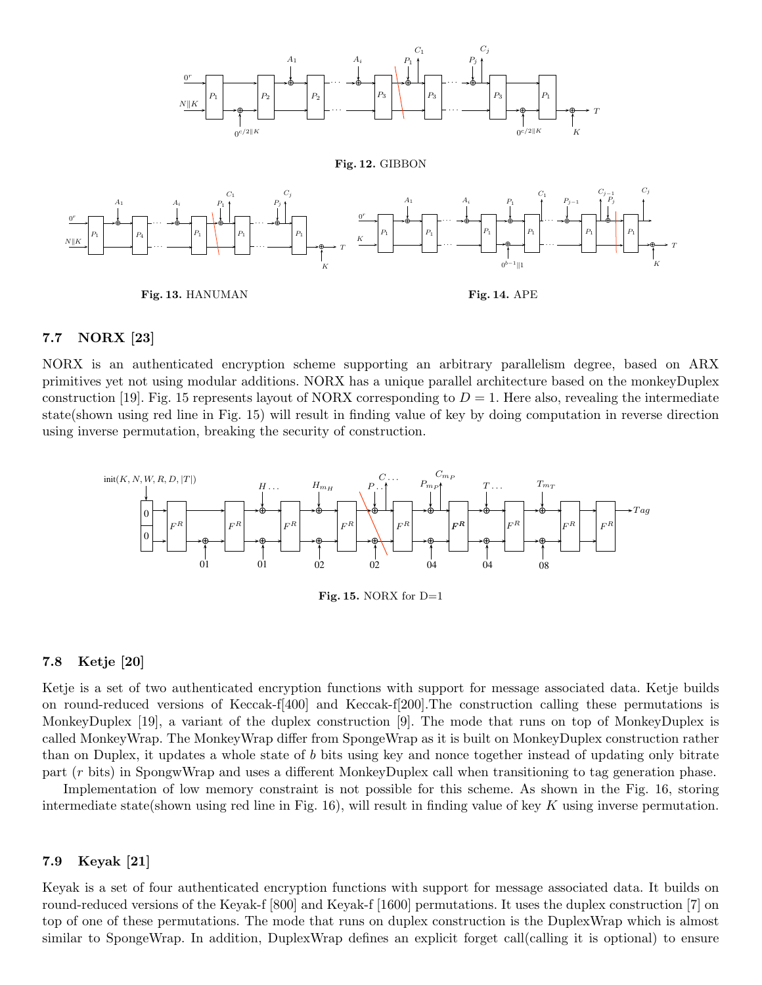

### 7.7 NORX [23]

NORX is an authenticated encryption scheme supporting an arbitrary parallelism degree, based on ARX primitives yet not using modular additions. NORX has a unique parallel architecture based on the monkeyDuplex construction [19]. Fig. 15 represents layout of NORX corresponding to  $D = 1$ . Here also, revealing the intermediate state(shown using red line in Fig. 15) will result in finding value of key by doing computation in reverse direction using inverse permutation, breaking the security of construction.



#### 7.8 Ketje [20]

Ketje is a set of two authenticated encryption functions with support for message associated data. Ketje builds on round-reduced versions of Keccak-f[400] and Keccak-f[200].The construction calling these permutations is MonkeyDuplex [19], a variant of the duplex construction [9]. The mode that runs on top of MonkeyDuplex is called MonkeyWrap. The MonkeyWrap differ from SpongeWrap as it is built on MonkeyDuplex construction rather than on Duplex, it updates a whole state of b bits using key and nonce together instead of updating only bitrate part (r bits) in SpongwWrap and uses a different MonkeyDuplex call when transitioning to tag generation phase.

Implementation of low memory constraint is not possible for this scheme. As shown in the Fig. 16, storing intermediate state(shown using red line in Fig. 16), will result in finding value of key K using inverse permutation.

#### 7.9 Keyak [21]

Keyak is a set of four authenticated encryption functions with support for message associated data. It builds on round-reduced versions of the Keyak-f [800] and Keyak-f [1600] permutations. It uses the duplex construction [7] on top of one of these permutations. The mode that runs on duplex construction is the DuplexWrap which is almost similar to SpongeWrap. In addition, DuplexWrap defines an explicit forget call(calling it is optional) to ensure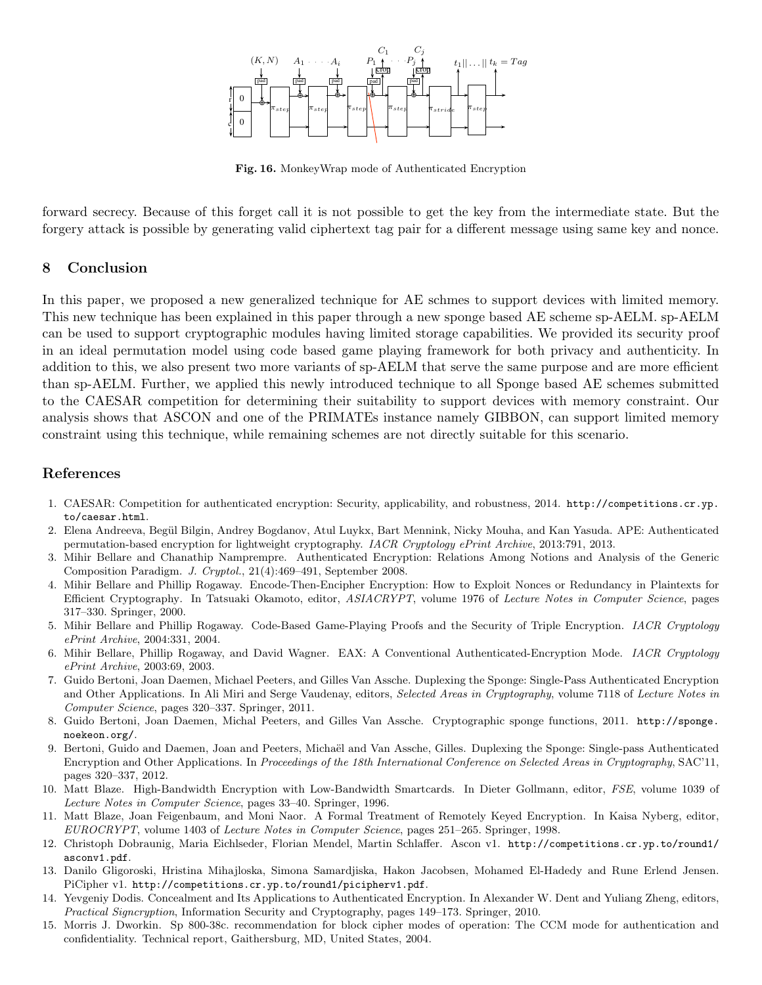

Fig. 16. MonkeyWrap mode of Authenticated Encryption

forward secrecy. Because of this forget call it is not possible to get the key from the intermediate state. But the forgery attack is possible by generating valid ciphertext tag pair for a different message using same key and nonce.

### 8 Conclusion

In this paper, we proposed a new generalized technique for AE schmes to support devices with limited memory. This new technique has been explained in this paper through a new sponge based AE scheme sp-AELM. sp-AELM can be used to support cryptographic modules having limited storage capabilities. We provided its security proof in an ideal permutation model using code based game playing framework for both privacy and authenticity. In addition to this, we also present two more variants of sp-AELM that serve the same purpose and are more efficient than sp-AELM. Further, we applied this newly introduced technique to all Sponge based AE schemes submitted to the CAESAR competition for determining their suitability to support devices with memory constraint. Our analysis shows that ASCON and one of the PRIMATEs instance namely GIBBON, can support limited memory constraint using this technique, while remaining schemes are not directly suitable for this scenario.

### References

- 1. CAESAR: Competition for authenticated encryption: Security, applicability, and robustness, 2014. http://competitions.cr.yp. to/caesar.html.
- 2. Elena Andreeva, Begül Bilgin, Andrey Bogdanov, Atul Luykx, Bart Mennink, Nicky Mouha, and Kan Yasuda. APE: Authenticated permutation-based encryption for lightweight cryptography. IACR Cryptology ePrint Archive, 2013:791, 2013.
- 3. Mihir Bellare and Chanathip Namprempre. Authenticated Encryption: Relations Among Notions and Analysis of the Generic Composition Paradigm. J. Cryptol., 21(4):469–491, September 2008.
- 4. Mihir Bellare and Phillip Rogaway. Encode-Then-Encipher Encryption: How to Exploit Nonces or Redundancy in Plaintexts for Efficient Cryptography. In Tatsuaki Okamoto, editor, ASIACRYPT, volume 1976 of Lecture Notes in Computer Science, pages 317–330. Springer, 2000.
- 5. Mihir Bellare and Phillip Rogaway. Code-Based Game-Playing Proofs and the Security of Triple Encryption. IACR Cryptology ePrint Archive, 2004:331, 2004.
- 6. Mihir Bellare, Phillip Rogaway, and David Wagner. EAX: A Conventional Authenticated-Encryption Mode. IACR Cryptology ePrint Archive, 2003:69, 2003.
- 7. Guido Bertoni, Joan Daemen, Michael Peeters, and Gilles Van Assche. Duplexing the Sponge: Single-Pass Authenticated Encryption and Other Applications. In Ali Miri and Serge Vaudenay, editors, Selected Areas in Cryptography, volume 7118 of Lecture Notes in Computer Science, pages 320–337. Springer, 2011.
- 8. Guido Bertoni, Joan Daemen, Michal Peeters, and Gilles Van Assche. Cryptographic sponge functions, 2011. http://sponge. noekeon.org/.
- 9. Bertoni, Guido and Daemen, Joan and Peeters, Michaël and Van Assche, Gilles. Duplexing the Sponge: Single-pass Authenticated Encryption and Other Applications. In Proceedings of the 18th International Conference on Selected Areas in Cryptography, SAC'11, pages 320–337, 2012.
- 10. Matt Blaze. High-Bandwidth Encryption with Low-Bandwidth Smartcards. In Dieter Gollmann, editor, FSE, volume 1039 of Lecture Notes in Computer Science, pages 33–40. Springer, 1996.
- 11. Matt Blaze, Joan Feigenbaum, and Moni Naor. A Formal Treatment of Remotely Keyed Encryption. In Kaisa Nyberg, editor, EUROCRYPT, volume 1403 of Lecture Notes in Computer Science, pages 251–265. Springer, 1998.
- 12. Christoph Dobraunig, Maria Eichlseder, Florian Mendel, Martin Schlaffer. Ascon v1. http://competitions.cr.yp.to/round1/ asconv1.pdf.
- 13. Danilo Gligoroski, Hristina Mihajloska, Simona Samardjiska, Hakon Jacobsen, Mohamed El-Hadedy and Rune Erlend Jensen. PiCipher v1. http://competitions.cr.yp.to/round1/picipherv1.pdf.
- 14. Yevgeniy Dodis. Concealment and Its Applications to Authenticated Encryption. In Alexander W. Dent and Yuliang Zheng, editors, Practical Signcryption, Information Security and Cryptography, pages 149–173. Springer, 2010.
- 15. Morris J. Dworkin. Sp 800-38c. recommendation for block cipher modes of operation: The CCM mode for authentication and confidentiality. Technical report, Gaithersburg, MD, United States, 2004.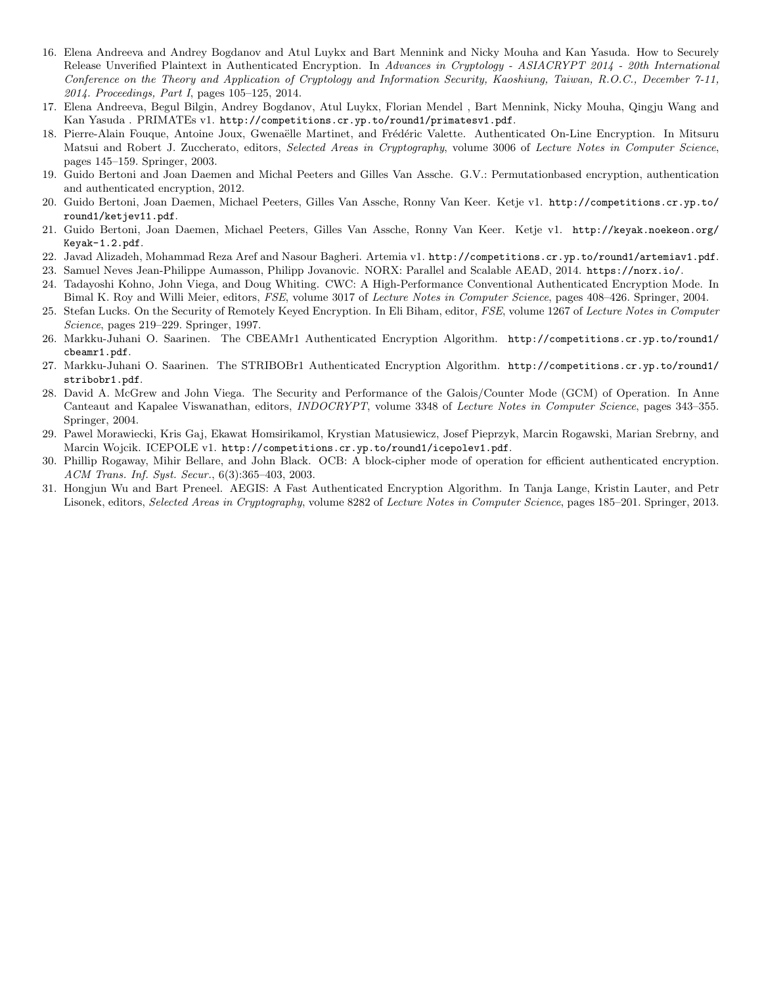- 16. Elena Andreeva and Andrey Bogdanov and Atul Luykx and Bart Mennink and Nicky Mouha and Kan Yasuda. How to Securely Release Unverified Plaintext in Authenticated Encryption. In Advances in Cryptology - ASIACRYPT 2014 - 20th International Conference on the Theory and Application of Cryptology and Information Security, Kaoshiung, Taiwan, R.O.C., December 7-11, 2014. Proceedings, Part I, pages 105–125, 2014.
- 17. Elena Andreeva, Begul Bilgin, Andrey Bogdanov, Atul Luykx, Florian Mendel , Bart Mennink, Nicky Mouha, Qingju Wang and Kan Yasuda . PRIMATEs v1. http://competitions.cr.yp.to/round1/primatesv1.pdf.
- 18. Pierre-Alain Fouque, Antoine Joux, Gwenaëlle Martinet, and Frédéric Valette. Authenticated On-Line Encryption. In Mitsuru Matsui and Robert J. Zuccherato, editors, Selected Areas in Cryptography, volume 3006 of Lecture Notes in Computer Science, pages 145–159. Springer, 2003.
- 19. Guido Bertoni and Joan Daemen and Michal Peeters and Gilles Van Assche. G.V.: Permutationbased encryption, authentication and authenticated encryption, 2012.
- 20. Guido Bertoni, Joan Daemen, Michael Peeters, Gilles Van Assche, Ronny Van Keer. Ketje v1. http://competitions.cr.yp.to/ round1/ketjev11.pdf.
- 21. Guido Bertoni, Joan Daemen, Michael Peeters, Gilles Van Assche, Ronny Van Keer. Ketje v1. http://keyak.noekeon.org/ Keyak-1.2.pdf.
- 22. Javad Alizadeh, Mohammad Reza Aref and Nasour Bagheri. Artemia v1. http://competitions.cr.yp.to/round1/artemiav1.pdf.
- 23. Samuel Neves Jean-Philippe Aumasson, Philipp Jovanovic. NORX: Parallel and Scalable AEAD, 2014. https://norx.io/.
- 24. Tadayoshi Kohno, John Viega, and Doug Whiting. CWC: A High-Performance Conventional Authenticated Encryption Mode. In Bimal K. Roy and Willi Meier, editors, FSE, volume 3017 of Lecture Notes in Computer Science, pages 408–426. Springer, 2004.
- 25. Stefan Lucks. On the Security of Remotely Keyed Encryption. In Eli Biham, editor, FSE, volume 1267 of Lecture Notes in Computer Science, pages 219–229. Springer, 1997.
- 26. Markku-Juhani O. Saarinen. The CBEAMr1 Authenticated Encryption Algorithm. http://competitions.cr.yp.to/round1/ cbeamr1.pdf.
- 27. Markku-Juhani O. Saarinen. The STRIBOBr1 Authenticated Encryption Algorithm. http://competitions.cr.yp.to/round1/ stribobr1.pdf.
- 28. David A. McGrew and John Viega. The Security and Performance of the Galois/Counter Mode (GCM) of Operation. In Anne Canteaut and Kapalee Viswanathan, editors, INDOCRYPT, volume 3348 of Lecture Notes in Computer Science, pages 343–355. Springer, 2004.
- 29. Pawel Morawiecki, Kris Gaj, Ekawat Homsirikamol, Krystian Matusiewicz, Josef Pieprzyk, Marcin Rogawski, Marian Srebrny, and Marcin Wojcik. ICEPOLE v1. http://competitions.cr.yp.to/round1/icepolev1.pdf.
- 30. Phillip Rogaway, Mihir Bellare, and John Black. OCB: A block-cipher mode of operation for efficient authenticated encryption. ACM Trans. Inf. Syst. Secur., 6(3):365–403, 2003.
- 31. Hongjun Wu and Bart Preneel. AEGIS: A Fast Authenticated Encryption Algorithm. In Tanja Lange, Kristin Lauter, and Petr Lisonek, editors, Selected Areas in Cryptography, volume 8282 of Lecture Notes in Computer Science, pages 185–201. Springer, 2013.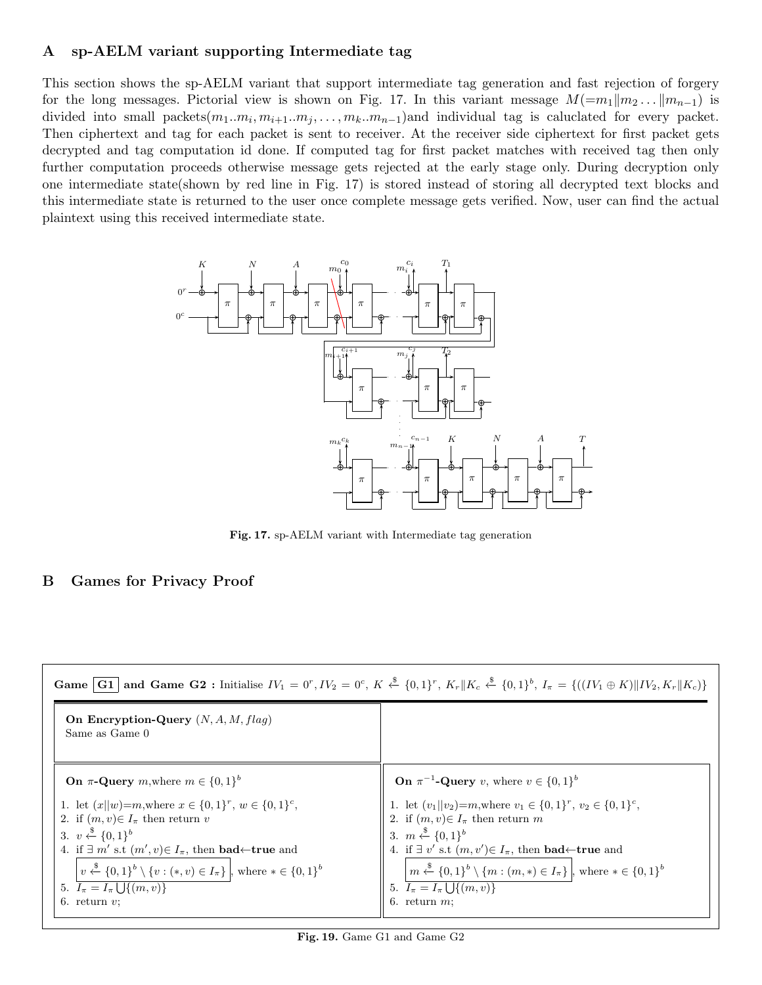# A sp-AELM variant supporting Intermediate tag

This section shows the sp-AELM variant that support intermediate tag generation and fast rejection of forgery for the long messages. Pictorial view is shown on Fig. 17. In this variant message  $M(=m_1||m_2...||m_{n-1})$  is divided into small packets $(m_1..m_i, m_{i+1}..m_j, ..., m_k..m_{n-1})$  and individual tag is caluclated for every packet. Then ciphertext and tag for each packet is sent to receiver. At the receiver side ciphertext for first packet gets decrypted and tag computation id done. If computed tag for first packet matches with received tag then only further computation proceeds otherwise message gets rejected at the early stage only. During decryption only one intermediate state(shown by red line in Fig. 17) is stored instead of storing all decrypted text blocks and this intermediate state is returned to the user once complete message gets verified. Now, user can find the actual plaintext using this received intermediate state.



Fig. 17. sp-AELM variant with Intermediate tag generation

# B Games for Privacy Proof

| <b>Game</b>   <b>G1</b>   and <b>Game G2</b> : Initialise $IV_1 = 0^r$ , $IV_2 = 0^c$ , $K \stackrel{\$}{\leftarrow} \{0,1\}^r$ , $K_r \parallel K_c \stackrel{\$}{\leftarrow} \{0,1\}^b$ , $I_{\pi} = \{((IV_1 \oplus K) \parallel IV_2, K_r \parallel K_c)\}$                                                                                                                                                  |                                                                                                                                                                                                                                                                                                                                                                                                                                   |  |  |
|------------------------------------------------------------------------------------------------------------------------------------------------------------------------------------------------------------------------------------------------------------------------------------------------------------------------------------------------------------------------------------------------------------------|-----------------------------------------------------------------------------------------------------------------------------------------------------------------------------------------------------------------------------------------------------------------------------------------------------------------------------------------------------------------------------------------------------------------------------------|--|--|
| On Encryption-Query $(N, A, M, flag)$<br>Same as Game 0                                                                                                                                                                                                                                                                                                                                                          |                                                                                                                                                                                                                                                                                                                                                                                                                                   |  |  |
| On $\pi$ -Query m, where $m \in \{0,1\}^b$                                                                                                                                                                                                                                                                                                                                                                       | <b>On</b> $\pi^{-1}$ - <b>Query</b> v, where $v \in \{0,1\}^b$                                                                                                                                                                                                                                                                                                                                                                    |  |  |
| 1. let $(x  w)=m$ , where $x \in \{0,1\}^r$ , $w \in \{0,1\}^c$ ,<br>2. if $(m, v) \in I_{\pi}$ then return v<br>3. $v \leftarrow \{0,1\}^b$<br>4. if $\exists m'$ s.t $(m', v) \in I_{\pi}$ , then <b>bad</b> $\leftarrow$ <b>true</b> and<br>$v \stackrel{\$}{\leftarrow} \{0,1\}^b \setminus \{v : (*,v) \in I_\pi\}$ , where $* \in \{0,1\}^b$<br>5. $I_{\pi} = I_{\pi} \cup \{(m, v)\}\$<br>6. return $v$ ; | 1. let $(v_1  v_2)=m$ , where $v_1 \in \{0,1\}^r$ , $v_2 \in \{0,1\}^c$ ,<br>2. if $(m, v) \in I_{\pi}$ then return m<br>3. $m \xleftarrow{\$} \{0,1\}^b$<br>4. if $\exists v'$ s.t $(m, v') \in I_{\pi}$ , then <b>bad</b> $\leftarrow$ <b>true</b> and<br>$m \stackrel{\$}{\leftarrow} \{0,1\}^b \setminus \{m : (m,*) \in I_{\pi}\}\,$ , where $* \in \{0,1\}^b$<br>5. $I_{\pi} = I_{\pi} \cup \{(m, v)\}\$<br>6. return $m$ . |  |  |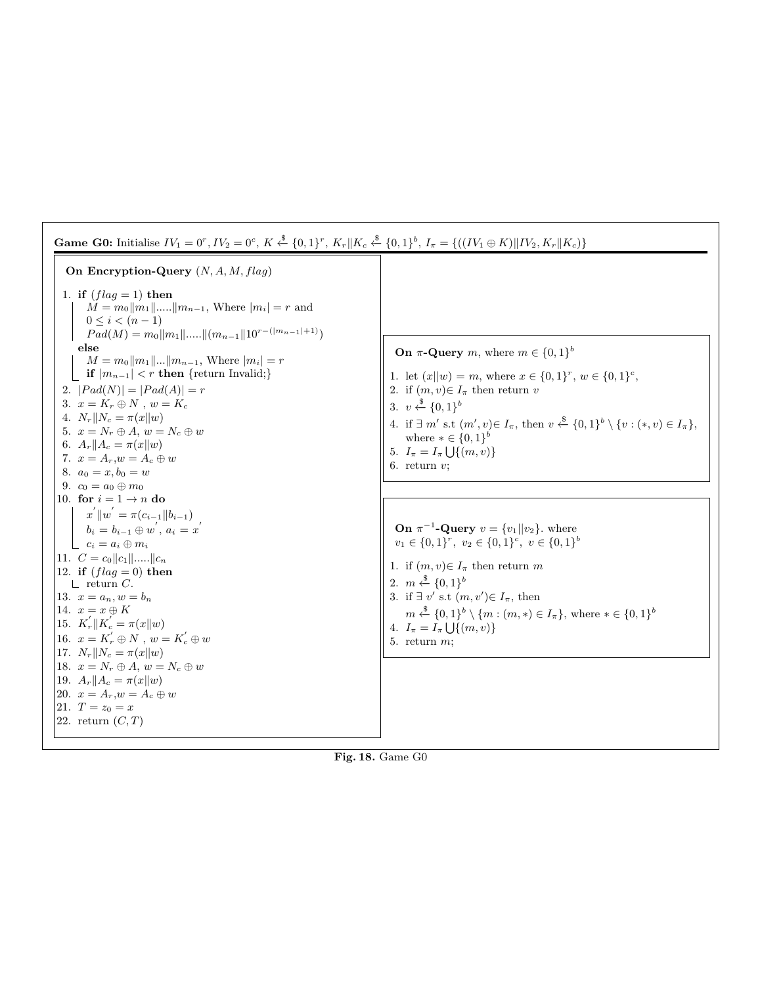| <b>Game G0:</b> Initialise $IV_1 = 0^r$ , $IV_2 = 0^c$ , $K \stackrel{\$}{\leftarrow} \{0,1\}^r$ , $K_r    K_c \stackrel{\$}{\leftarrow} \{0,1\}^b$ , $I_{\pi} = \{((IV_1 \oplus K)    IV_2, K_r    K_c)\}$                                                                                                                                                                                                                                                                                                                                                                                                                                                                                                                                                                                                                                                                                                                                                                                                                                                                                                                                                                                   |                                                                                                                                                                                                                                                                                                                                                                                                                                                                                                                                                                                                                                                                                                                                                                                                                                                                                                  |  |  |
|-----------------------------------------------------------------------------------------------------------------------------------------------------------------------------------------------------------------------------------------------------------------------------------------------------------------------------------------------------------------------------------------------------------------------------------------------------------------------------------------------------------------------------------------------------------------------------------------------------------------------------------------------------------------------------------------------------------------------------------------------------------------------------------------------------------------------------------------------------------------------------------------------------------------------------------------------------------------------------------------------------------------------------------------------------------------------------------------------------------------------------------------------------------------------------------------------|--------------------------------------------------------------------------------------------------------------------------------------------------------------------------------------------------------------------------------------------------------------------------------------------------------------------------------------------------------------------------------------------------------------------------------------------------------------------------------------------------------------------------------------------------------------------------------------------------------------------------------------------------------------------------------------------------------------------------------------------------------------------------------------------------------------------------------------------------------------------------------------------------|--|--|
| On Encryption-Query $(N, A, M, flag)$<br>1. if $(flag = 1)$ then<br>$M = m_0   m_1   \dots   m_{n-1}$ , Where $ m_i  = r$ and<br>$0 \leq i < (n-1)$<br>$Pad(M) = m_0    m_1    \dots    (m_{n-1}    10^{r-( m_{n-1} +1)})$<br>else<br>$M = m_0   m_1      m_{n-1}$ , Where $ m_i  = r$<br><b>if</b> $ m_{n-1}  < r$ then {return Invalid;}<br>2. $ Pad(N)  =  Pad(A)  = r$<br>3. $x = K_r \oplus N$ , $w = K_c$<br>4. $N_r  N_c = \pi(x  w)$<br>5. $x = N_r \oplus A, w = N_c \oplus w$<br>6. $A_r  A_c = \pi(x  w)$<br>7. $x = A_r$ , $w = A_c \oplus w$<br>8. $a_0 = x, b_0 = w$<br>9. $c_0 = a_0 \oplus m_0$<br>10. for $i = 1 \rightarrow n$ do<br>$x^{'} \ w^{'} = \pi(c_{i-1} \ b_{i-1})$<br>$b_i = b_{i-1} \oplus w^{'}, a_i = x^{'}$<br>$c_i = a_i \oplus m_i$<br>11. $C = c_0   c_1   \dots   c_n$<br>12. if $(flag = 0)$ then<br>$\perp$ return C.<br>13. $x = a_n, w = b_n$<br>14. $x = x \oplus K$<br>15. $K'_r \  K'_c = \pi(x \  w)$<br>16. $x = K'_r \oplus N$ , $w = K'_c \oplus w$<br>17. $N_r  N_c = \pi(x  w)$<br>18. $x = N_r \oplus A, w = N_c \oplus w$<br>19. $A_r    A_c = \pi(x    w)$<br>20. $x = A_r, w = A_c \oplus w$<br>21. $T = z_0 = x$<br>22. return $(C,T)$ | <b>On</b> $\pi$ - <b>Query</b> m, where $m \in \{0,1\}^b$<br>1. let $(x  w) = m$ , where $x \in \{0,1\}^r$ , $w \in \{0,1\}^c$ ,<br>2. if $(m, v) \in I_{\pi}$ then return v<br>3. $v \xleftarrow{\$} \{0,1\}^b$<br>4. if $\exists m'$ s.t $(m', v) \in I_{\pi}$ , then $v \stackrel{\$}{\leftarrow} \{0, 1\}^b \setminus \{v : (*, v) \in I_{\pi}\},$<br>where $* \in \{0,1\}^b$<br>5. $I_{\pi} = I_{\pi} \cup \{(m, v)\}\$<br>6. return $v$ ;<br><b>On</b> $\pi^{-1}$ - <b>Query</b> $v = \{v_1     v_2\}$ , where<br>$v_1 \in \{0,1\}^r$ , $v_2 \in \{0,1\}^c$ , $v \in \{0,1\}^b$<br>1. if $(m, v) \in I_{\pi}$ then return m<br>2. $m \xleftarrow{\$} \{0,1\}^b$<br>3. if $\exists v'$ s.t $(m, v') \in I_{\pi}$ , then<br>$m \stackrel{\$}{\leftarrow} \{0,1\}^b \setminus \{m : (m,*) \in I_\pi\},$ where $* \in \{0,1\}^b$<br>4. $I_{\pi} = I_{\pi} \cup \{(m, v)\}\$<br>5. return $m$ ; |  |  |

Fig. 18. Game G0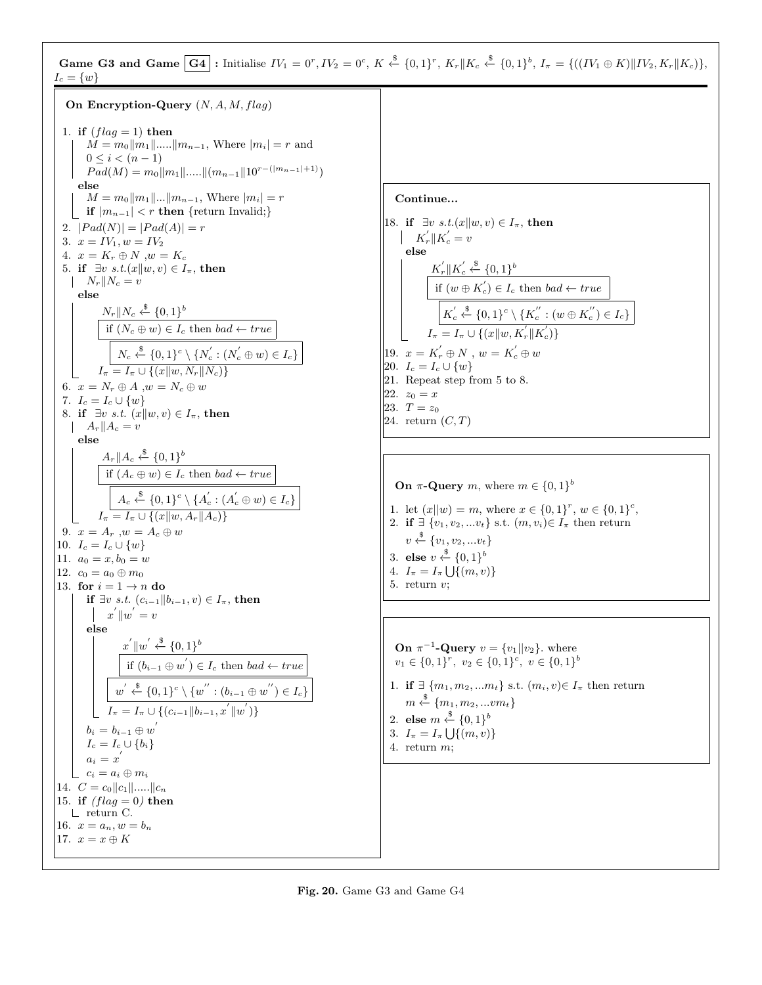Game G3 and Game  $\boxed{G4}$ : Initialise  $IV_1 = 0^r$ ,  $IV_2 = 0^c$ ,  $K \stackrel{\$}{\leftarrow} \{0,1\}^r$ ,  $K_r \parallel K_c \stackrel{\$}{\leftarrow} \{0,1\}^b$ ,  $I_{\pi} = \{((IV_1 \oplus K) \parallel IV_2, K_r \parallel K_c)\},$  $I_c = \{w\}$ 

On Encryption-Query  $(N, A, M, flag)$ 1. if  $(flag = 1)$  then  $M = m_0||m_1|| \dots ||m_{n-1}$ , Where  $|m_i| = r$  and  $0 \leq i < (n-1)$  $Pad(M) = m_0||m_1||.....||(m_{n-1}||10^{r-(|m_{n-1}|+1)})$ else  $M = m_0||m_1||...||m_{n-1}$ , Where  $|m_i| = r$ if  $|m_{n-1}| < r$  then {return Invalid;} 2.  $|Pad(N)| = |Pad(A)| = r$ 3.  $x = IV_1, w = IV_2$ 4.  $x = K_r \oplus N$ ,  $w = K_c$ 5. if  $\exists v \ s.t.(x||w, v) \in I_{\pi}$ , then  $\|N_r\|N_c = v$ else  $N_r||N_c \overset{\$}{\leftarrow} \{0,1\}^b$ if  $(N_c \oplus w) \in I_c$  then  $bad \leftarrow true$  $N_c \stackrel{\$}{\leftarrow} \{0,1\}^c \setminus \{N_c^{'} : (N_c^{'} \oplus w) \in I_c\}$  $I_{\pi} = I_{\pi} \cup \{(x||w, N_{r}||N_{c})\}$ 6.  $x = N_r \oplus A, w = N_c \oplus w$ 7.  $I_c = I_c \cup \{w\}$ 8. if  $\exists v \ s.t. \ (x||w, v) \in I_{\pi}$ , then  $\|A_r\|A_c = v$ else  $A_r \parallel A_c \stackrel{\$}{\leftarrow} \{0,1\}^b$ if  $(A_c \oplus w) \in I_c$  then  $bad \leftarrow true$  $A_c \stackrel{\$}{\leftarrow} \{0,1\}^c \setminus \{A_c^{'} : (A_c^{'} \oplus w) \in I_c\}$  $I_{\pi} = I_{\pi} \cup \{(x||w, A_r||A_c)\}\$ 9.  $x = A_r$ ,  $w = A_c \oplus w$ 10.  $I_c = I_c \cup \{w\}$ 11.  $a_0 = x, b_0 = w$ 12.  $c_0 = a_0 \oplus m_0$ 13. for  $i = 1 \rightarrow n$  do if ∃v s.t.  $(c_{i-1}||b_{i-1}, v) \in I_\pi$ , then  $x^{'}\Vert w^{'}=v$ else  $x^{'}\Vert w^{'} \stackrel{\$}{\leftarrow} \{0,1\}^b$ if  $(b_{i-1} \oplus w') \in I_c$  then bad ← true  $w^{'} \stackrel{\$}{\leftarrow} \{0,1\}^c \setminus \{w^{''} : (b_{i-1} \oplus w^{''}) \in I_c\}$  $I_{\pi} = I_{\pi} \cup \{(c_{i-1} || b_{i-1}, x^{'} || w^{'} )\}$  $b_i=b_{i-1}\oplus w^{'}$  $I_c = I_c \cup \{b_i\}$  $a_i = x^{'}$  $\begin{array}{c} \mathcal{L} \subset \subset \subset a_i \oplus m_i \end{array}$ 14.  $C = c_0 ||c_1|| \dots ||c_n$ 15. if  $(flag = 0)$  then return C. 16.  $x = a_n, w = b_n$ 17.  $x = x \oplus K$ 

Continue...

18. if  $\exists v \ s.t. (x||w, v) \in I_{\pi}$ , then  $K_{r}' \| K_{c}' = v$ else  $K_r^{'}\Vert K_c^{'}$  $\int_{c}^{\prime} \stackrel{\$}{\leftarrow}$  {0, 1}<sup>b</sup> if  $(w \oplus K_c) \in I_c$  then  $bad \leftarrow true$  $K_c^{'}$  $c'_{c} \stackrel{\$}{\leftarrow} \{0,1\}^{c} \setminus \{K_c^{''}: (w \oplus K_c^{''}) \in I_c\}$  $I_{\pi} = I_{\pi} \cup \{(x||w, K_{r}^{'}||K_{c}^{'})\}$ 19.  $x = K'_r \oplus N$ ,  $w = K'_c \oplus w$ ||20.  $I_c = I_c \cup \{w\}$ 21. Repeat step from 5 to 8. |22.  $z_0 = x$  $23. T = z_0$ 24. return  $(C, T)$ 

**On**  $\pi$ -**Query** m, where  $m \in \{0,1\}^b$ 1. let  $(x||w) = m$ , where  $x \in \{0,1\}^r$ ,  $w \in \{0,1\}^c$ , 2. if  $\exists \{v_1, v_2, ... v_t\}$  s.t.  $(m, v_i) \in I_\pi$  then return  $v \overset{\$}{\leftarrow} \{v_1, v_2, ... v_t\}$ 3. else  $v \overset{\$}{\leftarrow} \{0,1\}^b$ 4.  $I_{\pi} = I_{\pi} \bigcup \{(m, v)\}\$ 5. return v;

**On**  $\pi^{-1}$ -**Query**  $v = \{v_1 | | v_2\}$ . where  $v_1 \in \{0,1\}^r$ ,  $v_2 \in \{0,1\}^c$ ,  $v \in \{0,1\}^b$ 1. if  $\exists \{m_1, m_2, \ldots m_t\}$  s.t.  $(m_i, v) \in I_\pi$  then return  $m \overset{\$}{\leftarrow} \{m_1, m_2, ...vm_t\}$ 2. else  $m \stackrel{\$}{\leftarrow} \{0,1\}^b$ 3.  $I_{\pi} = I_{\pi} \bigcup \{(m, v)\}\$ 4. return m;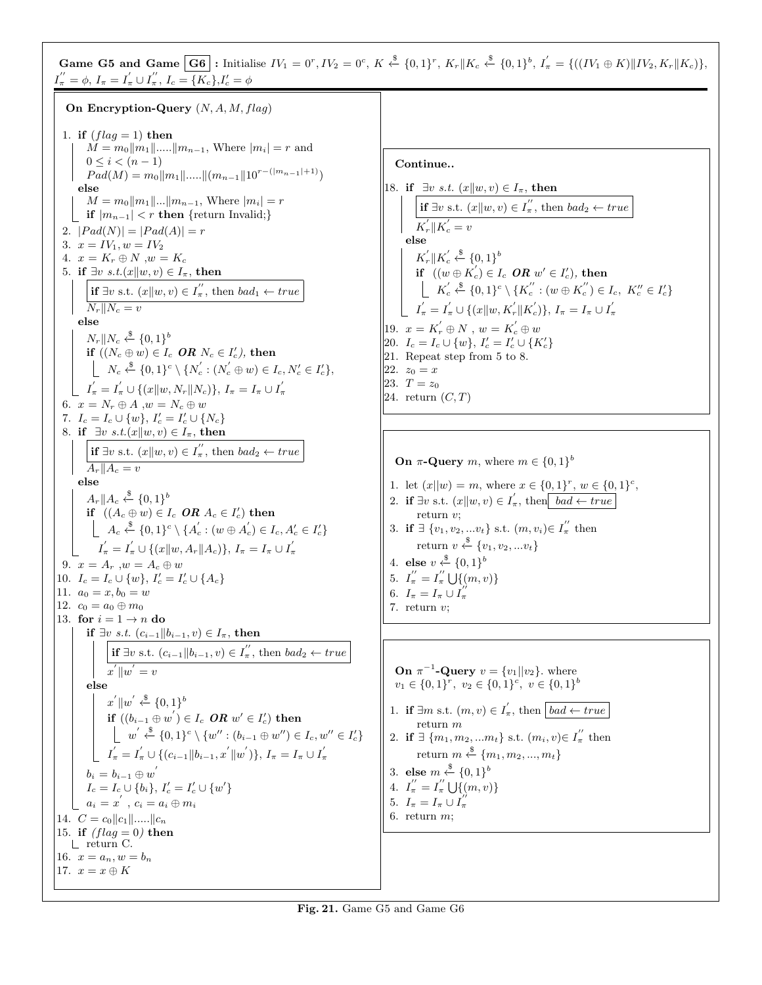Game G5 and Game  $\boxed{G6}$ : Initialise  $IV_1 = 0^r$ ,  $IV_2 = 0^c$ ,  $K \stackrel{\$}{\leftarrow} \{0,1\}^r$ ,  $K_r \| K_c \stackrel{\$}{\leftarrow} \{0,1\}^b$ ,  $I'_\pi = \{((IV_1 \oplus K) \| IV_2, K_r \| K_c)\},$  $I_{\pi}^{"} = \phi, I_{\pi} = I_{\pi}^{'} \cup I_{\pi}^{''}, I_{c} = \overline{\{K_{c}\}, I_{c}^{'} = \phi\}$ 

On Encryption-Query  $(N, A, M, flag)$ 1. if  $(flag = 1)$  then  $M = m_0||m_1|| \dots ||m_{n-1}$ , Where  $|m_i| = r$  and  $0 \leq i \leq (n-1)$  $Pad(M) = m_0||m_1||.....||(m_{n-1}||10^{r-(|m_{n-1}|+1)})$ else  $M = m_0||m_1||...||m_{n-1}$ , Where  $|m_i| = r$ | if  $|m_{n-1}| < r$  then {return Invalid;} 2.  $|Pad(N)| = |Pad(A)| = r$ 3.  $x = IV_1, w = IV_2$ 4.  $x = K_r \oplus N$ ,  $w = K_c$ 5. if  $\exists v \ s.t.(x||w, v) \in I_{\pi}$ , then **if**  $\exists v$  s.t.  $(x||w, v) \in I_n''$ , then  $bad_1 \leftarrow true$  $N_r||N_c = v$ else  $N_r||N_c \overset{\$}{\leftarrow} \{0,1\}^b$ if  $((N_c \oplus w) \in I_c$   $\textit{OR}$   $N_c \in I_c')$ , then  $N_c \stackrel{\$}{\leftarrow} \{0,1\}^c \setminus \{N_c^{'} : (N_c^{'} \oplus w) \in I_c, N_c^{'} \in I_c^{'}\},\$  $I_{\pi}^{'}=I_{\pi}^{'}\cup\{(x\|w,N_{r}\|N_{c})\},\,I_{\pi}=I_{\pi}\cup I_{\pi}^{'}$ π 6.  $x = N_r \oplus A$ ,  $w = N_c \oplus w$ 7.  $I_c = I_c \cup \{w\}, I'_c = I'_c \cup \{N_c\}$ 8. if  $\exists v \ s.t.(x||w, v) \in I_{\pi}$ , then **if**  $\exists v$  s.t.  $(x||w, v) \in I_n''$ , then  $bad_2 \leftarrow true$  $A_r||A_c = v$ else  $A_r \parallel A_c \stackrel{\$}{\leftarrow} \{0,1\}^b$ if  $((A_c \oplus w) \in I_c$   $\mathcal{O}R$   $A_c \in I_c')$  then  $A_c \xleftarrow{\$} \{0,1\}^c \setminus \{A_c^{'} : (w \oplus A_c^{'} ) \in I_c, A_c^{'} \in I_c^{'} \}$  $I_{\pi}^{'}=I_{\pi}^{'}\cup\{(x\|w,A_{r}\|A_{c})\},\,I_{\pi}=I_{\pi}\cup I_{\pi}^{'}$ π 9.  $x = A_r$ ,  $w = A_c \oplus w$ 10.  $I_c = I_c \cup \{w\}, I'_c = I'_c \cup \{A_c\}$ 11.  $a_0 = x, b_0 = w$ 12.  $c_0 = a_0 \oplus m_0$ 13. for  $i = 1 \rightarrow n$  do if ∃v s.t.  $(c_{i-1}||b_{i-1}, v) \in I_\pi$ , then **if**  $\exists v$  s.t.  $(c_{i-1} || b_{i-1}, v) \in I''_n$ , then  $bad_2 \leftarrow true$  $x^{'}||w^{'}=v$ else  $x^{'} \|w^{'} \stackrel{\$}{\leftarrow} \{0,1\}^b$  $\overline{\textbf{if}}\,\,\overline{\mid}(b_{i-1}\oplus w^{'})\in I_c\,\,\boldsymbol{OR}\,\,w^{\prime}\in I_c^{\prime}\text{)}\,\,\text{then}$  $w^{'} \stackrel{\$}{\leftarrow} \{0,1\}^c \setminus \{w'' : (b_{i-1} \oplus w'') \in I_c, w'' \in I_c'\}$  $I_{\pi}^{'}=I_{\pi}^{'}\cup\{(c_{i-1}\|b_{i-1},x^{'}\|w^{'})\},\,I_{\pi}=I_{\pi}\cup I_{\pi}^{'}$ π  $b_i=b_{i-1}\oplus w^{'}$  $I_c = I_c \cup \{b_i\}, I_c' = I_c' \cup \{w'\}$  $a_i = x^{'}$ ,  $c_i = a_i \oplus m_i$ 14.  $C = c_0 ||c_1|| \dots ||c_n$ 15. if  $(flag = 0)$  then return C. 16.  $x = a_n, w = b_n$ 17.  $x = x \oplus K$ 

Continue.. 18. if  $\exists v \ s.t. \ (x||w, v) \in I_{\pi}$ , then **if**  $\exists v$  s.t.  $(x||w, v) \in I_n''$ , then  $bad_2 \leftarrow true$  $K_r$ || $K_c' = v$ else  $K_r^{'}$   $\Vert K_c^{'}$  $\int_{c}^{\prime} \stackrel{\$}{\leftarrow} \{0,1\}^{b}$ if  $((w \oplus K_c) \in I_c$  OR  $w' \in I_c'$ ), then  $K_c^{'}$  $c'_{c} \stackrel{\$}{\leftarrow} \{0,1\}^{c} \setminus \{K_{c}^{''}: (w \oplus K_{c}^{''}) \in I_{c}, K_{c}'' \in I_{c}'\}$  $I_{\pi}^{'}=I_{\pi}^{'}\cup\{(x\|w,K_{r}^{'}\|K_{c}^{'})\},\,I_{\pi}=I_{\pi}\cup I_{\pi}^{'}$ π 19.  $x = K'_r \oplus N$ ,  $w = K'_c \oplus w$ 20.  $I_c = I_c \cup \{w\}, I_c' = I_c' \cup \{K_c'\}$ 21. Repeat step from 5 to 8.  $|22. z_0 = x$ |23.  $T = z_0$ 24. return  $(C, T)$ 

**On**  $\pi$ **-Query** m, where  $m \in \{0,1\}^b$ 

```
1. let (x||w) = m, where x \in \{0,1\}^r, w \in \{0,1\}^c,
```

```
2. if \exists v s.t. (x||w, v) \in I'_\pi, then \boxed{bad \leftarrow true}return v;
```
3. if  $\exists \{v_1, v_2, ... v_t\}$  s.t.  $(m, v_i) \in I''_{\pi}$  then return  $v \stackrel{\$}{\leftarrow} \{v_1, v_2, ... v_t\}$ 

4. else 
$$
v \overset{\$}{\underset{''}{\leftarrow}} \{0,1\}^b
$$

5. 
$$
I''_{\pi} = I''_{\pi} \bigcup \{ (m, v) \}
$$

π

6. 
$$
I_{\pi} = I_{\pi} \cup I
$$

7. return 
$$
v
$$
;

**On**  $\pi^{-1}$ -**Query**  $v = \{v_1 | | v_2\}$ . where  $v_1 \in \{0,1\}^r$ ,  $v_2 \in \{0,1\}^c$ ,  $v \in \{0,1\}^b$ 1. if  $\exists m \text{ s.t. } (m, v) \in I'_\pi$ , then  $\boxed{bad \leftarrow true}$ return  $m$ 2. if  $\exists \{m_1, m_2, ... m_t\}$  s.t.  $(m_i, v) \in I''_{\pi}$  then return  $m \stackrel{\$}{\leftarrow} \{m_1, m_2, ..., m_t\}$ 3. else  $m \stackrel{\$}{\leftarrow} \{0,1\}^b$ 4.  $I_{\pi}^{''}=I_{\pi}^{''}$  $\pi \bigcup \{(m, v)\}\$ 5.  $I_{\pi} = I_{\pi} \cup I_{\pi}^{\prime\prime}$ π 6. return  $m$ ;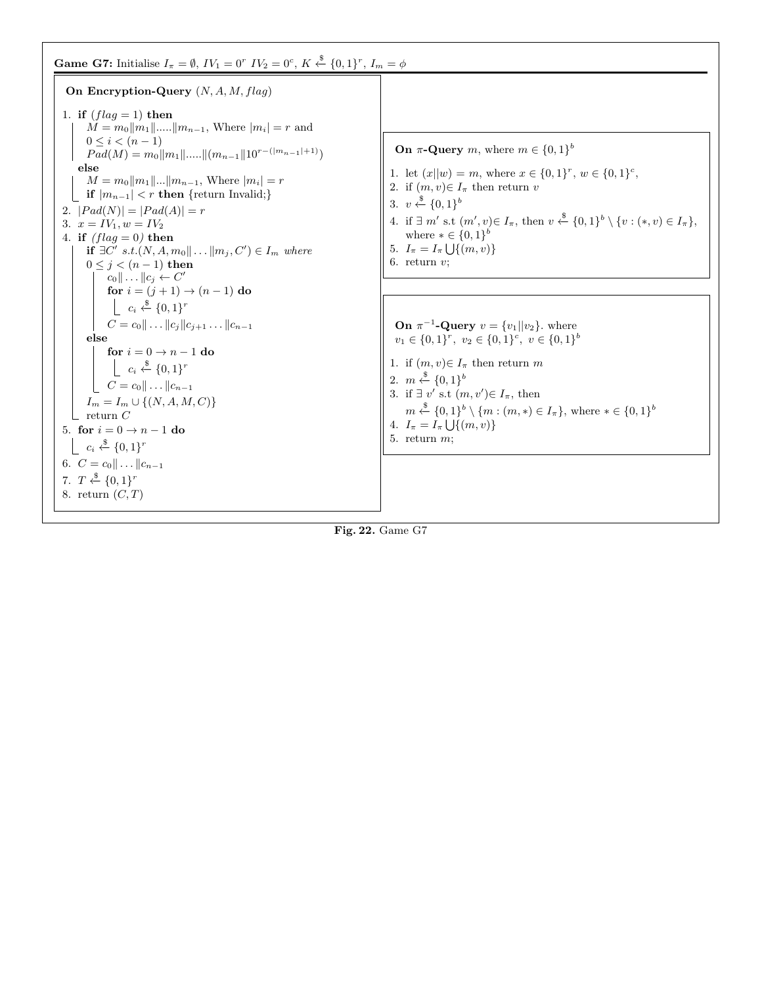## **Game G7:** Initialise  $I_{\pi} = \emptyset$ ,  $IV_1 = 0^r$   $IV_2 = 0^c$ ,  $K \stackrel{\$}{\leftarrow} \{0,1\}^r$ ,  $I_m = \phi$



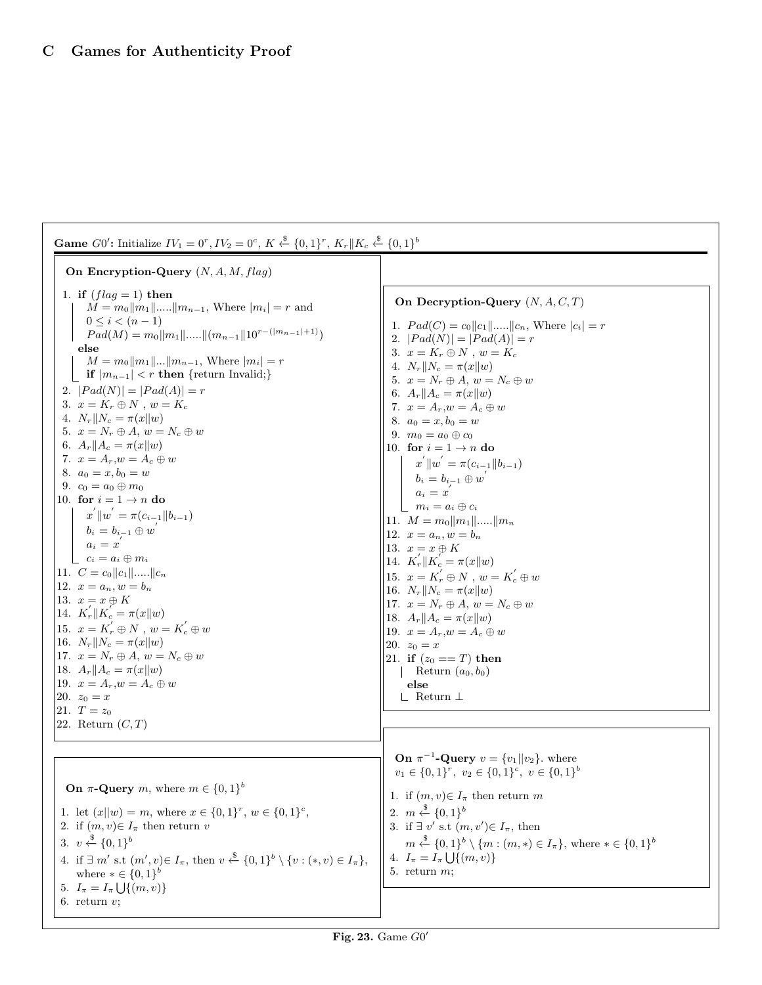| <b>Game</b> G0': Initialize $IV_1 = 0^r$ , $IV_2 = 0^c$ , $K \xleftarrow{\$} \{0,1\}^r$ , $K_r    K_c \xleftarrow{\$} \{0,1\}^b$                                                                                                                                                                                                                                                                                                                                                                                                                                                                                                                                                                                                                                                                                                                                                                                                                                                                                                                                                                    |                                                                                                                                                                                                                                                                                                                                                                                                                                                                                                                                                                                                                                                                                                                                                                                                                                                                                                                                                  |  |  |  |
|-----------------------------------------------------------------------------------------------------------------------------------------------------------------------------------------------------------------------------------------------------------------------------------------------------------------------------------------------------------------------------------------------------------------------------------------------------------------------------------------------------------------------------------------------------------------------------------------------------------------------------------------------------------------------------------------------------------------------------------------------------------------------------------------------------------------------------------------------------------------------------------------------------------------------------------------------------------------------------------------------------------------------------------------------------------------------------------------------------|--------------------------------------------------------------------------------------------------------------------------------------------------------------------------------------------------------------------------------------------------------------------------------------------------------------------------------------------------------------------------------------------------------------------------------------------------------------------------------------------------------------------------------------------------------------------------------------------------------------------------------------------------------------------------------------------------------------------------------------------------------------------------------------------------------------------------------------------------------------------------------------------------------------------------------------------------|--|--|--|
| On Encryption-Query $(N, A, M, flag)$                                                                                                                                                                                                                                                                                                                                                                                                                                                                                                                                                                                                                                                                                                                                                                                                                                                                                                                                                                                                                                                               |                                                                                                                                                                                                                                                                                                                                                                                                                                                                                                                                                                                                                                                                                                                                                                                                                                                                                                                                                  |  |  |  |
| 1. if $(flag = 1)$ then<br>$M = m_0   m_1   \dots   m_{n-1}$ , Where $ m_i  = r$ and<br>$0 \leq i < (n-1)$<br>$Pad(M) = m_0   m_1   \dots   (m_{n-1}    10^{r-( m_{n-1} +1)})$<br>else<br>$M = m_0   m_1      m_{n-1}$ , Where $ m_i  = r$<br><b>if</b> $ m_{n-1}  < r$ then {return Invalid;}<br>2. $ Pad(N)  =  Pad(A)  = r$<br>3. $x = K_r \oplus N$ , $w = K_c$<br>4. $N_r  N_c = \pi(x  w)$<br>5. $x = N_r \oplus A, w = N_c \oplus w$<br>6. $A_r  A_c = \pi(x  w)$<br>7. $x = A_r, w = A_c \oplus w$<br>8. $a_0 = x, b_0 = w$<br>9. $c_0 = a_0 \oplus m_0$<br>10. for $i = 1 \rightarrow n$ do<br>$x^{'}\ w^{'} = \pi(c_{i-1}\ b_{i-1})$<br>$b_i = b_{i-1} \oplus w'$<br>$a_i = x'$<br>$c_i = a_i \oplus m_i$<br>11. $C = c_0   c_1   \dots   c_n$<br>12. $x = a_n, w = b_n$<br>13. $x = x \oplus K$<br>14. $K'_r \  K'_c = \pi(x \  w)$<br>15. $x = K'_r \oplus N$ , $w = K'_c \oplus w$<br>16. $N_r  N_c = \pi(x  w)$<br>17. $x = N_r \oplus A, w = N_c \oplus w$<br>18. $A_r  A_c = \pi(x  w)$<br>19. $x = A_r, w = A_c \oplus w$<br>20. $z_0 = x$<br>21. $T = z_0$<br>22. Return $(C, T)$ | On Decryption-Query $(N, A, C, T)$<br>1. $Pad(C) = c_0   c_1   \dots   c_n$ , Where $ c_i  = r$<br>2. $ Pad(N)  =  Pad(A)  = r$<br>3. $x = K_r \oplus N$ , $w = K_c$<br>4. $N_r  N_c = \pi(x  w)$<br>5. $x = N_r \oplus A, w = N_c \oplus w$<br>6. $A_r  A_c = \pi(x  w)$<br>7. $x = A_r, w = A_c \oplus w$<br>8. $a_0 = x, b_0 = w$<br>9. $m_0 = a_0 \oplus c_0$<br>10. for $i = 1 \rightarrow n$ do<br>$x^{'}\ w^{'}=\pi(c_{i-1}\ b_{i-1})$<br>$b_i=b_{i-1}\oplus w'$<br>$a_i = x$<br>$m_i = a_i \oplus c_i$<br> 11. $M = m_0   m_1  $    $m_n$<br>12. $x = a_n, w = b_n$<br>13. $x = x \oplus K$<br>14. $K'_r \  K'_c = \pi(x \  w)$<br>15. $x = K'_r \oplus N$ , $w = K'_c \oplus w$<br>16. $N_r  N_c = \pi(x  w)$<br>17. $x = N_r \oplus A, w = N_c \oplus w$<br>  18. $A_r    A_c = \pi(x    w)$<br>19. $x = A_r, w = A_c \oplus w$<br> 20. $z_0 = x$<br>21. if $(z_0 == T)$ then<br>Return $(a_0, b_0)$<br>else<br>$\perp$ Return $\perp$ |  |  |  |
| <b>On</b> $\pi$ - <b>Query</b> m, where $m \in \{0,1\}^b$<br>1. let $(x  w) = m$ , where $x \in \{0,1\}^r$ , $w \in \{0,1\}^c$ ,<br>2. if $(m, v) \in I_{\pi}$ then return v<br>3. $v \leftarrow \{0,1\}^b$<br>4. if $\exists m'$ s.t $(m', v) \in I_{\pi}$ , then $v \stackrel{\$}{\leftarrow} \{0, 1\}^b \setminus \{v : (*, v) \in I_{\pi}\},$<br>where $* \in \{0,1\}^b$<br>5. $I_{\pi} = I_{\pi} \bigcup \{(m, v)\}\$<br>6. return $v$ ;                                                                                                                                                                                                                                                                                                                                                                                                                                                                                                                                                                                                                                                       | <b>On</b> $\pi^{-1}$ - <b>Query</b> $v = \{v_1     v_2\}$ , where<br>$v_1 \in \{0,1\}^r$ , $v_2 \in \{0,1\}^c$ , $v \in \{0,1\}^b$<br>1. if $(m, v) \in I_{\pi}$ then return m<br>2. $m \stackrel{\$}{\leftarrow} \{0,1\}^b$<br>3. if $\exists v'$ s.t $(m, v') \in I_{\pi}$ , then<br>$m \stackrel{\$}{\leftarrow} \{0,1\}^b \setminus \{m : (m,*) \in I_{\pi}\}\$ , where $* \in \{0,1\}^b$<br>4. $I_{\pi} = I_{\pi} \bigcup \{(m, v)\}\$<br>5. return $m$ ;                                                                                                                                                                                                                                                                                                                                                                                                                                                                                   |  |  |  |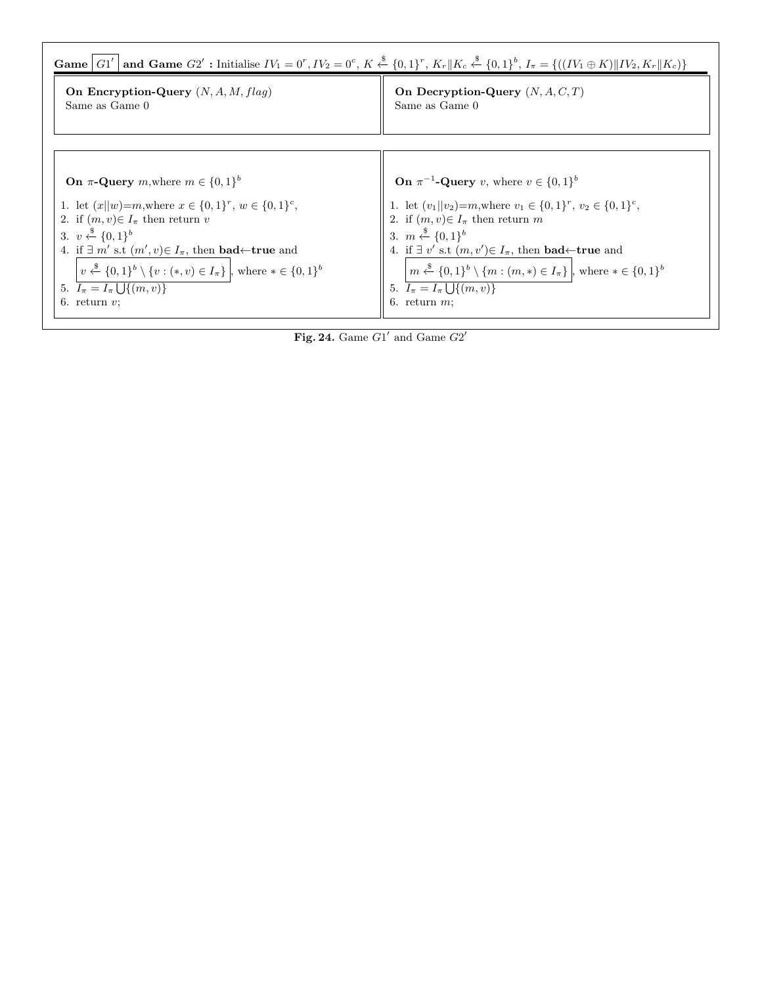

Fig. 24. Game  $G1'$  and Game  $G2'$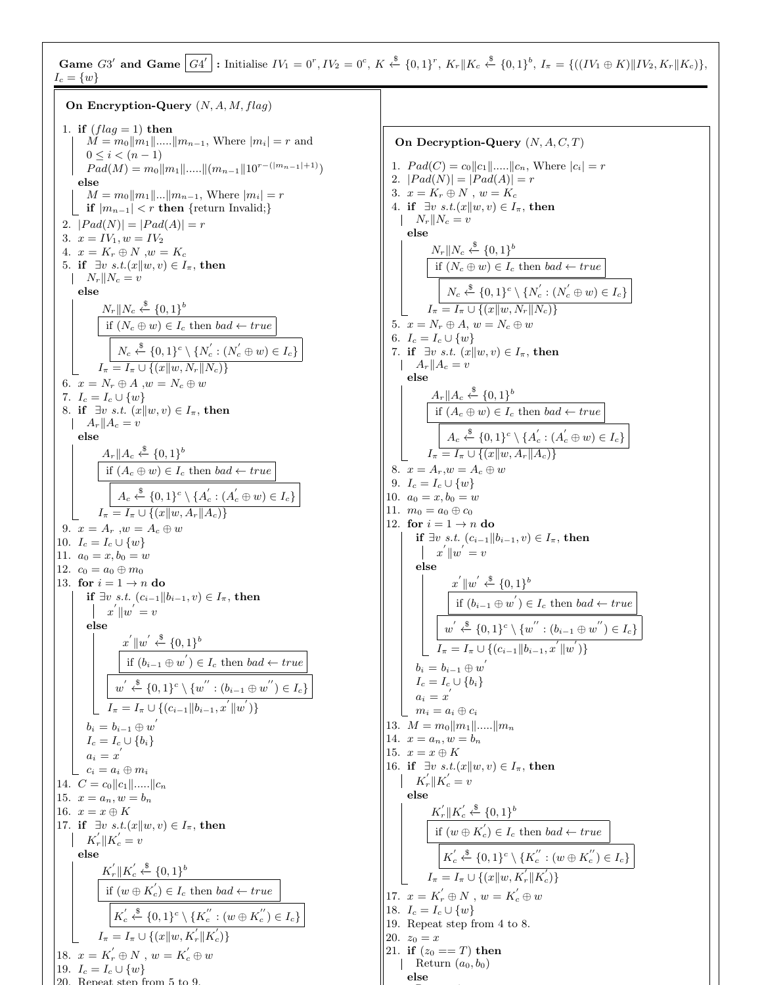Game G3' and Game  $|G4'|$ : Initialise  $IV_1 = 0^r$ ,  $IV_2 = 0^c$ ,  $K \stackrel{\$}{\leftarrow} \{0,1\}^r$ ,  $K_r \|K_c \stackrel{\$}{\leftarrow} \{0,1\}^b$ ,  $I_{\pi} = \{((IV_1 \oplus K) \| IV_2, K_r \| K_c)\},$  $I_c = \{w\}$ On Encryption-Query  $(N, A, M, flag)$ 

1. if  $(flag = 1)$  then  $M = m_0||m_1|| \dots ||m_{n-1}$ , Where  $|m_i| = r$  and  $0 \leq i < (n-1)$  $Pad(M) = m_0||m_1||.....||(m_{n-1}||10^{r-(|m_{n-1}|+1)})$ else  $M = m_0||m_1||...||m_{n-1}$ , Where  $|m_i| = r$ if  $|m_{n-1}| < r$  then {return Invalid;} 2.  $|Pad(N)| = |Pad(A)| = r$ 3.  $x = IV_1, w = IV_2$ 4.  $x = K_r \oplus N$ ,  $w = K_c$ 5. if  $\exists v \ s.t. (x||w, v) \in I_{\pi}$ , then  $\|N_r\|N_c = v$ else  $N_r||N_c \overset{\$}{\leftarrow} \{0,1\}^b$ if  $(N_c \oplus w) \in I_c$  then  $bad \leftarrow true$  $N_c \stackrel{\$}{\leftarrow} \{0,1\}^c \setminus \{N_c^{'} : (N_c^{'} \oplus w) \in I_c\}$  $I_{\pi} = I_{\pi} \cup \{(x||w, N_{r}||N_{c})\}$ 6.  $x = N_r \oplus A$ ,  $w = N_c \oplus w$ 7.  $I_c = I_c \cup \{w\}$ 8. if  $\exists v \ s.t. \ (x||w, v) \in I_{\pi}$ , then  $\|A_r\|A_c = v$ else  $A_r \| A_c \overset{\$}{\leftarrow} \{0,1\}^b$ if  $(A_c \oplus w) \in I_c$  then  $bad \leftarrow true$  $A_c \stackrel{\$}{\leftarrow} \{0,1\}^c \setminus \{A_c^{'} : (A_c^{'} \oplus w) \in I_c\}$  $I_{\pi} = I_{\pi} \cup \{(x||w, A_{r}||A_{c})\}$ 9.  $x = A_r$ ,  $w = A_c \oplus w$ 10.  $I_c = I_c \cup \{w\}$ 11.  $a_0 = x, b_0 = w$ 12.  $c_0 = a_0 \oplus m_0$ 13. for  $i = 1 \rightarrow n$  do if ∃v s.t.  $(c_{i-1}||b_{i-1}, v) \in I_π$ , then  $x^{'}\Vert w^{'}=v$ else  $x^{'} \|w^{'} \stackrel{\$}{\leftarrow} \{0,1\}^b$ if  $(b_{i-1} \oplus w') \in I_c$  then bad ← true  $w^{'} \stackrel{\$}{\leftarrow} \{0,1\}^c \setminus \{w^{''} : (b_{i-1} \oplus w^{''}) \in I_c\}$  $I_{\pi} = I_{\pi} \cup \{(c_{i-1} || b_{i-1}, x^{'} || w^{'} )\}$  $b_i=b_{i-1}\oplus w^{'}$  $I_c = I_c \cup \{b_i\}$  $a_i = x^{'}$  $c_i = a_i \oplus m_i$ 14.  $C = c_0 ||c_1|| \dots ||c_n$ 15.  $x = a_n, w = b_n$ 16.  $x = x \oplus K$ 17. if  $\exists v \ s.t.(x||w, v) \in I_{\pi}$ , then  $K_r^{'}$   $\|K_c^{'} = v$ else  $K_r^{'}\Vert K_c^{'}$  $\int_{c}^{\prime} \stackrel{\$}{\leftarrow} \{0,1\}^{b}$ if  $(w \oplus K_c) \in I_c$  then  $bad \leftarrow true$  $K_c^{'}$  $c' \stackrel{\$}{\leftarrow} \{0,1\}^c \setminus \{K_c^{''}: (w \oplus K_c^{''}) \in I_c\}$  $I_{\pi} = I_{\pi} \cup \{(x || w, K_{r}^{'} || K_{c}^{'} )\}$ 18.  $x = K'_r \oplus N$ ,  $w = K'_c \oplus w$ 19.  $I_c = I_c \cup \{w\}$ 20. Repeat step from 5 to 9.

On Decryption-Query  $(N, A, C, T)$ 1.  $Pad(C) = c_0 ||c_1|| \dots ||c_n$ , Where  $|c_i| = r$ 2.  $|Pad(N)| = |Pad(A)| = r$ 3.  $x = K_r \oplus N$ ,  $w = K_c$ 4. if  $\exists v \ s.t.(x||w, v) \in I_{\pi}$ , then  $\|N_r\|N_c = v$ else  $N_r||N_c \stackrel{\$}{\leftarrow} \{0,1\}^b$ if  $(N_c \oplus w) \in I_c$  then  $bad \leftarrow true$  $N_c \stackrel{\$}{\leftarrow} \{0,1\}^c \setminus \{N_c^{'} : (N_c^{'} \oplus w) \in I_c\}$  $I_{\pi} = I_{\pi} \cup \{(x||w, N_r||N_c)\}$ 5.  $x = N_r \oplus A, w = N_c \oplus w$ 6.  $I_c = I_c \cup \{w\}$ 7. if  $\exists v \ s.t. \ (x||w, v) \in I_{\pi}$ , then  $\|A_r\|A_c = v$ else  $A_r \| A_c \overset{\$}{\leftarrow} \{0,1\}^b$ if  $(A_c \oplus w) \in I_c$  then  $bad \leftarrow true$  $A_c \stackrel{\$}{\leftarrow} \{0,1\}^c \setminus \{A_c^{'} : (A_c^{'} \oplus w) \in I_c\}$  $I_{\pi} = I_{\pi} \cup \{(x||w, A_r||A_c)\}\$ 8.  $x = A_r, w = A_c \oplus w$ 9.  $I_c = I_c \cup \{w\}$ 10.  $a_0 = x, b_0 = w$ 11.  $m_0 = a_0 \oplus c_0$ 12. for  $i = 1 \rightarrow n$  do if ∃v s.t.  $(c_{i-1}||b_{i-1}, v) \in I_\pi$ , then  $x^{'}\Vert w^{'}=v$ else  $x^{'} \|w^{'} \stackrel{\$}{\leftarrow} \{0,1\}^{b}$ if  $(b_{i-1} \oplus w') \in I_c$  then bad ← true  $w^{'} \stackrel{\$}{\leftarrow} \{0,1\}^c \setminus \{w^{''} : (b_{i-1} \oplus w^{''}) \in I_c\}$  $I_{\pi} = I_{\pi} \cup \{(c_{i-1} || b_{i-1}, x^{'} || w^{'} )\}$  $b_i=b_{i-1}\oplus w^{'}$  $I_c = I_c \cup \{b_i\}$  $a_i = x^{'}$  $m_i = a_i \oplus c_i$ 13.  $M = m_0 ||m_1|| \dots ||m_n$ 14.  $x = a_n, w = b_n$ 15.  $x = x \oplus K$ 16. if  $\exists v \ s.t. (x||w, v) \in I_{\pi}$ , then  $K_r^{'}$   $\|K_c^{'} = v$ else  $K_r^{'}\Vert K_c^{'}$  $\int_{c}^{\prime} \stackrel{\$}{\leftarrow} \{0,1\}^{b}$ if  $(w \oplus K_c) \in I_c$  then  $bad \leftarrow true$  $K_c^{'}$  $c \stackrel{'}{\leftarrow} \stackrel{\$}{\leftarrow} \{0,1\}^c \setminus \{K_c^{''}: (w \oplus K_c^{''}) \in I_c\}$  $I_{\pi} = I_{\pi} \cup \{(x || w, K_{r}^{'} || K_{c}^{'} )\}$ 17.  $x = K'_r \oplus N$ ,  $w = K'_c \oplus w$ 18.  $I_c = I_c \cup \{w\}$ 19. Repeat step from 4 to 8.  $|20. z_0 = x$ 21. if  $(z_0 == T)$  then Return  $(a_0, b_0)$ else